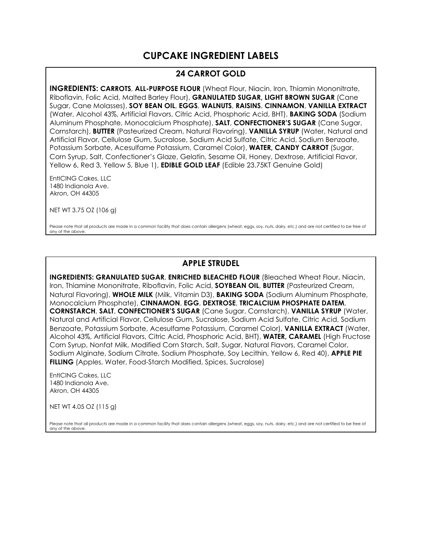# **CUPCAKE INGREDIENT LABELS**

### **24 CARROT GOLD**

**INGREDIENTS: CARROTS**, **ALL-PURPOSE FLOUR** (Wheat Flour, Niacin, Iron, Thiamin Mononitrate, Riboflavin, Folic Acid, Malted Barley Flour), **GRANULATED SUGAR, LIGHT BROWN SUGAR** (Cane Sugar, Cane Molasses), **SOY BEAN OIL**, **EGGS**, **WALNUTS**, **RAISINS**, **CINNAMON**, **VANILLA EXTRACT**  (Water, Alcohol 43%, Artificial Flavors, Citric Acid, Phosphoric Acid, BHT), **BAKING SODA** (Sodium Aluminum Phosphate, Monocalcium Phosphate), **SALT**, **CONFECTIONER'S SUGAR** (Cane Sugar, Cornstarch), **BUTTER** (Pasteurized Cream, Natural Flavoring), **VANILLA SYRUP** (Water, Natural and Artificial Flavor, Cellulose Gum, Sucralose, Sodium Acid Sulfate, Citric Acid, Sodium Benzoate, Potassium Sorbate, Acesulfame Potassium, Caramel Color), **WATER, CANDY CARROT** (Sugar, Corn Syrup, Salt, Confectioner's Glaze, Gelatin, Sesame Oil, Honey, Dextrose, Artificial Flavor, Yellow 6, Red 3, Yellow 5, Blue 1), **EDIBLE GOLD LEAF** (Edible 23.75KT Genuine Gold)

EntICING Cakes, LLC 1480 Indianola Ave. Akron, OH 44305

NET WT 3.75 OZ (106 g)

Please note that all products are made in a common facility that does contain allergens (wheat, eggs, soy, nuts, dairy, etc.) and are not certified to be free of any of the above.

## **APPLE STRUDEL**

**INGREDIENTS: GRANULATED SUGAR**, **ENRICHED BLEACHED FLOUR** (Bleached Wheat Flour, Niacin, Iron, Thiamine Mononitrate, Riboflavin, Folic Acid, **SOYBEAN OIL**, **BUTTER** (Pasteurized Cream, Natural Flavoring), **WHOLE MILK** (Milk, Vitamin D3), **BAKING SODA** (Sodium Aluminum Phosphate, Monocalcium Phosphate), **CINNAMON**, **EGG**, **DEXTROSE**, **TRICALCIUM PHOSPHATE DATEM**, **CORNSTARCH**, **SALT**, **CONFECTIONER'S SUGAR** (Cane Sugar, Cornstarch), **VANILLA SYRUP** (Water, Natural and Artificial Flavor, Cellulose Gum, Sucralose, Sodium Acid Sulfate, Citric Acid, Sodium Benzoate, Potassium Sorbate, Acesulfame Potassium, Caramel Color), **VANILLA EXTRACT** (Water, Alcohol 43%, Artificial Flavors, Citric Acid, Phosphoric Acid, BHT), **WATER, CARAMEL** (High Fructose Corn Syrup, Nonfat Milk, Modified Corn Starch, Salt, Sugar, Natural Flavors, Caramel Color, Sodium Alginate, Sodium Citrate, Sodium Phosphate, Soy Lecithin, Yellow 6, Red 40), **APPLE PIE FILLING** (Apples, Water, Food-Starch Modified, Spices, Sucralose)

EntICING Cakes, LLC 1480 Indianola Ave. Akron, OH 44305

NET WT 4.05 OZ (115 g)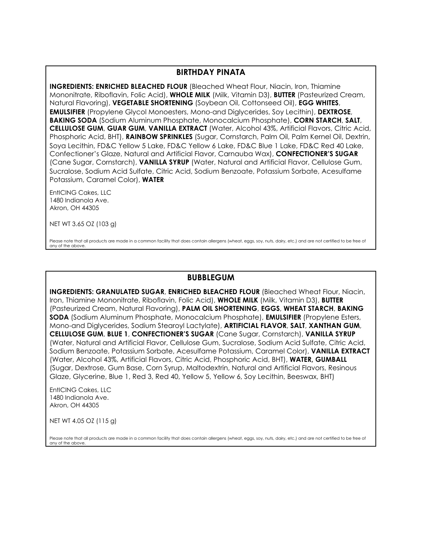#### **BIRTHDAY PINATA**

**INGREDIENTS: ENRICHED BLEACHED FLOUR** (Bleached Wheat Flour, Niacin, Iron, Thiamine Mononitrate, Riboflavin, Folic Acid), **WHOLE MILK** (Milk, Vitamin D3), **BUTTER** (Pasteurized Cream, Natural Flavoring), **VEGETABLE SHORTENING** (Soybean Oil, Cottonseed Oil), **EGG WHITES**, **EMULSIFIER** (Propylene Glycol Monoesters, Mono-and Diglycerides, Soy Lecithin), **DEXTROSE**, **BAKING SODA** (Sodium Aluminum Phosphate, Monocalcium Phosphate), **CORN STARCH**, **SALT**, **CELLULOSE GUM**, **GUAR GUM**, **VANILLA EXTRACT** (Water, Alcohol 43%, Artificial Flavors, Citric Acid, Phosphoric Acid, BHT), **RAINBOW SPRINKLES** (Sugar, Cornstarch, Palm Oil, Palm Kernel Oil, Dextrin, Soya Lecithin, FD&C Yellow 5 Lake, FD&C Yellow 6 Lake, FD&C Blue 1 Lake, FD&C Red 40 Lake, Confectioner's Glaze, Natural and Artificial Flavor, Carnauba Wax), **CONFECTIONER'S SUGAR**  (Cane Sugar, Cornstarch), **VANILLA SYRUP** (Water, Natural and Artificial Flavor, Cellulose Gum, Sucralose, Sodium Acid Sulfate, Citric Acid, Sodium Benzoate, Potassium Sorbate, Acesulfame Potassium, Caramel Color), **WATER**

EntICING Cakes, LLC 1480 Indianola Ave. Akron, OH 44305

NET WT 3.65 OZ (103 g)

Please note that all products are made in a common facility that does contain allergens (wheat, eggs, soy, nuts, dairy, etc.) and are not certified to be free of any of the above.

#### **BUBBLEGUM**

**INGREDIENTS: GRANULATED SUGAR**, **ENRICHED BLEACHED FLOUR** (Bleached Wheat Flour, Niacin, Iron, Thiamine Mononitrate, Riboflavin, Folic Acid), **WHOLE MILK** (Milk, Vitamin D3), **BUTTER**  (Pasteurized Cream, Natural Flavoring), **PALM OIL SHORTENING**, **EGGS**, **WHEAT STARCH**, **BAKING SODA** (Sodium Aluminum Phosphate, Monocalcium Phosphate), **EMULSIFIER** (Propylene Esters, Mono-and Diglycerides, Sodium Stearoyl Lactylate), **ARTIFICIAL FLAVOR**, **SALT**, **XANTHAN GUM**, **CELLULOSE GUM**, **BLUE 1**, **CONFECTIONER'S SUGAR** (Cane Sugar, Cornstarch), **VANILLA SYRUP**  (Water, Natural and Artificial Flavor, Cellulose Gum, Sucralose, Sodium Acid Sulfate, Citric Acid, Sodium Benzoate, Potassium Sorbate, Acesulfame Potassium, Caramel Color), **VANILLA EXTRACT**  (Water, Alcohol 43%, Artificial Flavors, Citric Acid, Phosphoric Acid, BHT), **WATER, GUMBALL** (Sugar, Dextrose, Gum Base, Corn Syrup, Maltodextrin, Natural and Artificial Flavors, Resinous Glaze, Glycerine, Blue 1, Red 3, Red 40, Yellow 5, Yellow 6, Soy Lecithin, Beeswax, BHT)

EntICING Cakes, LLC 1480 Indianola Ave. Akron, OH 44305

NET WT 4.05 OZ (115 g)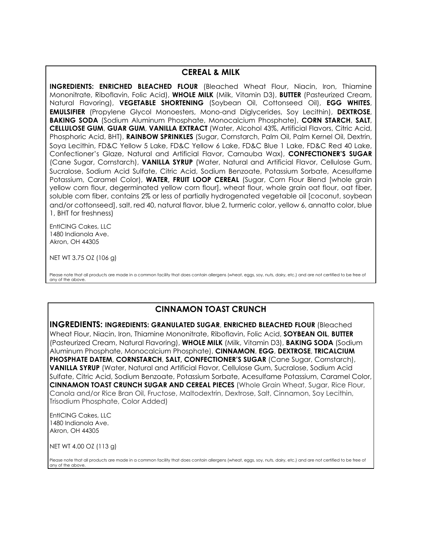#### **CEREAL & MILK**

**INGREDIENTS: ENRICHED BLEACHED FLOUR** (Bleached Wheat Flour, Niacin, Iron, Thiamine Mononitrate, Riboflavin, Folic Acid), **WHOLE MILK** (Milk, Vitamin D3), **BUTTER** (Pasteurized Cream, Natural Flavoring), **VEGETABLE SHORTENING** (Soybean Oil, Cottonseed Oil), **EGG WHITES**, **EMULSIFIER** (Propylene Glycol Monoesters, Mono-and Diglycerides, Soy Lecithin), **DEXTROSE**, **BAKING SODA** (Sodium Aluminum Phosphate, Monocalcium Phosphate), **CORN STARCH**, **SALT**, **CELLULOSE GUM**, **GUAR GUM**, **VANILLA EXTRACT** (Water, Alcohol 43%, Artificial Flavors, Citric Acid, Phosphoric Acid, BHT), **RAINBOW SPRINKLES** (Sugar, Cornstarch, Palm Oil, Palm Kernel Oil, Dextrin, Soya Lecithin, FD&C Yellow 5 Lake, FD&C Yellow 6 Lake, FD&C Blue 1 Lake, FD&C Red 40 Lake, Confectioner's Glaze, Natural and Artificial Flavor, Carnauba Wax), **CONFECTIONER'S SUGAR**  (Cane Sugar, Cornstarch), **VANILLA SYRUP** (Water, Natural and Artificial Flavor, Cellulose Gum, Sucralose, Sodium Acid Sulfate, Citric Acid, Sodium Benzoate, Potassium Sorbate, Acesulfame Potassium, Caramel Color), **WATER, FRUIT LOOP CEREAL** (Sugar, Corn Flour Blend [whole grain yellow corn flour, degerminated yellow corn flour], wheat flour, whole grain oat flour, oat fiber, soluble corn fiber, contains 2% or less of partially hydrogenated vegetable oil [coconut, soybean and/or cottonseed], salt, red 40, natural flavor, blue 2, turmeric color, yellow 6, annatto color, blue 1, BHT for freshness)

EntICING Cakes, LLC 1480 Indianola Ave. Akron, OH 44305

NET WT 3.75 OZ (106 g)

Please note that all products are made in a common facility that does contain allergens (wheat, eggs, soy, nuts, dairy, etc.) and are not certified to be free of any of the above.

### **CINNAMON TOAST CRUNCH**

**INGREDIENTS: INGREDIENTS: GRANULATED SUGAR**, **ENRICHED BLEACHED FLOUR** (Bleached Wheat Flour, Niacin, Iron, Thiamine Mononitrate, Riboflavin, Folic Acid, **SOYBEAN OIL**, **BUTTER**  (Pasteurized Cream, Natural Flavoring), **WHOLE MILK** (Milk, Vitamin D3), **BAKING SODA** (Sodium Aluminum Phosphate, Monocalcium Phosphate), **CINNAMON**, **EGG**, **DEXTROSE**, **TRICALCIUM PHOSPHATE DATEM**, **CORNSTARCH**, **SALT, CONFECTIONER'S SUGAR** (Cane Sugar, Cornstarch), **VANILLA SYRUP** (Water, Natural and Artificial Flavor, Cellulose Gum, Sucralose, Sodium Acid Sulfate, Citric Acid, Sodium Benzoate, Potassium Sorbate, Acesulfame Potassium, Caramel Color, **CINNAMON TOAST CRUNCH SUGAR AND CEREAL PIECES** (Whole Grain Wheat, Sugar, Rice Flour, Canola and/or Rice Bran Oil, Fructose, Maltodextrin, Dextrose, Salt, Cinnamon, Soy Lecithin, Trisodium Phosphate, Color Added)

EntICING Cakes, LLC 1480 Indianola Ave. Akron, OH 44305

NET WT 4.00 OZ (113 g)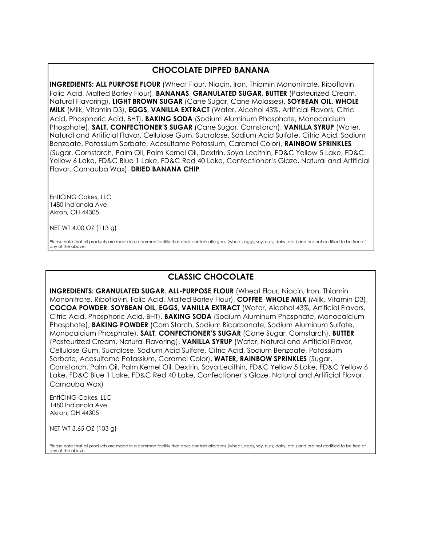## **CHOCOLATE DIPPED BANANA**

**INGREDIENTS: ALL PURPOSE FLOUR** (Wheat Flour, Niacin, Iron, Thiamin Mononitrate, Riboflavin, Folic Acid, Malted Barley Flour), **BANANAS**, **GRANULATED SUGAR**, **BUTTER** (Pasteurized Cream, Natural Flavoring), **LIGHT BROWN SUGAR** (Cane Sugar, Cane Molasses), **SOYBEAN OIL**, **WHOLE MILK** (Milk, Vitamin D3), **EGGS**, **VANILLA EXTRACT** (Water, Alcohol 43%, Artificial Flavors, Citric Acid, Phosphoric Acid, BHT), **BAKING SODA** (Sodium Aluminum Phosphate, Monocalcium Phosphate), **SALT, CONFECTIONER'S SUGAR** (Cane Sugar, Cornstarch), **VANILLA SYRUP** (Water, Natural and Artificial Flavor, Cellulose Gum, Sucralose, Sodium Acid Sulfate, Citric Acid, Sodium Benzoate, Potassium Sorbate, Acesulfame Potassium, Caramel Color), **RAINBOW SPRINKLES**  (Sugar, Cornstarch, Palm Oil, Palm Kernel Oil, Dextrin, Soya Lecithin, FD&C Yellow 5 Lake, FD&C Yellow 6 Lake, FD&C Blue 1 Lake, FD&C Red 40 Lake, Confectioner's Glaze, Natural and Artificial Flavor, Carnauba Wax), **DRIED BANANA CHIP**

EntICING Cakes, LLC 1480 Indianola Ave. Akron, OH 44305

NET WT 4.00 OZ (113 g)

Please note that all products are made in a common facility that does contain allergens (wheat, eggs, soy, nuts, dairy, etc.) and are not certified to be free of any of the above.

## **CLASSIC CHOCOLATE**

**INGREDIENTS: GRANULATED SUGAR**, **ALL-PURPOSE FLOUR** (Wheat Flour, Niacin, Iron, Thiamin Mononitrate, Riboflavin, Folic Acid, Malted Barley Flour), **COFFEE**, **WHOLE MILK** (Milk, Vitamin D3), **COCOA POWDER**, **SOYBEAN OIL**, **EGGS**, **VANILLA EXTRACT** (Water, Alcohol 43%, Artificial Flavors, Citric Acid, Phosphoric Acid, BHT), **BAKING SODA** (Sodium Aluminum Phosphate, Monocalcium Phosphate), **BAKING POWDER** (Corn Starch, Sodium Bicarbonate, Sodium Aluminum Sulfate, Monocalcium Phosphate), **SALT**, **CONFECTIONER'S SUGAR** (Cane Sugar, Cornstarch), **BUTTER**  (Pasteurized Cream, Natural Flavoring), **VANILLA SYRUP** (Water, Natural and Artificial Flavor, Cellulose Gum, Sucralose, Sodium Acid Sulfate, Citric Acid, Sodium Benzoate, Potassium Sorbate, Acesulfame Potassium, Caramel Color), **WATER, RAINBOW SPRINKLES** (Sugar, Cornstarch, Palm Oil, Palm Kernel Oil, Dextrin, Soya Lecithin, FD&C Yellow 5 Lake, FD&C Yellow 6 Lake, FD&C Blue 1 Lake, FD&C Red 40 Lake, Confectioner's Glaze, Natural and Artificial Flavor, Carnauba Wax)

EntICING Cakes, LLC 1480 Indianola Ave. Akron, OH 44305

NET WT 3.65 OZ (103 g)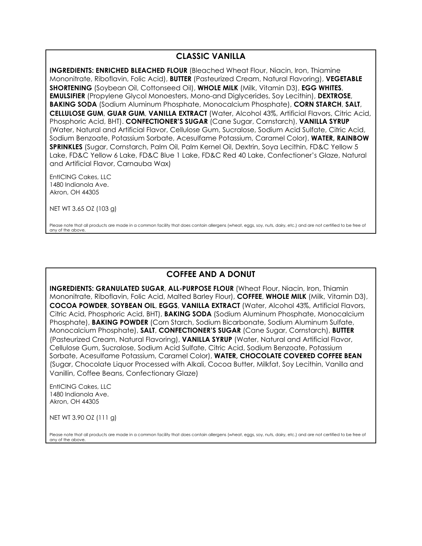## **CLASSIC VANILLA**

**INGREDIENTS: ENRICHED BLEACHED FLOUR** (Bleached Wheat Flour, Niacin, Iron, Thiamine Mononitrate, Riboflavin, Folic Acid), **BUTTER** (Pasteurized Cream, Natural Flavoring), **VEGETABLE SHORTENING** (Soybean Oil, Cottonseed Oil), **WHOLE MILK** (Milk, Vitamin D3), **EGG WHITES**, **EMULSIFIER** (Propylene Glycol Monoesters, Mono-and Diglycerides, Soy Lecithin), **DEXTROSE**, **BAKING SODA** (Sodium Aluminum Phosphate, Monocalcium Phosphate), **CORN STARCH**, **SALT**, **CELLULOSE GUM**, **GUAR GUM**, **VANILLA EXTRACT** (Water, Alcohol 43%, Artificial Flavors, Citric Acid, Phosphoric Acid, BHT). **CONFECTIONER'S SUGAR** (Cane Sugar, Cornstarch), **VANILLA SYRUP**  (Water, Natural and Artificial Flavor, Cellulose Gum, Sucralose, Sodium Acid Sulfate, Citric Acid, Sodium Benzoate, Potassium Sorbate, Acesulfame Potassium, Caramel Color), **WATER, RAINBOW SPRINKLES** (Sugar, Cornstarch, Palm Oil, Palm Kernel Oil, Dextrin, Soya Lecithin, FD&C Yellow 5 Lake, FD&C Yellow 6 Lake, FD&C Blue 1 Lake, FD&C Red 40 Lake, Confectioner's Glaze, Natural and Artificial Flavor, Carnauba Wax)

EntICING Cakes, LLC 1480 Indianola Ave. Akron, OH 44305

NET WT 3.65 OZ (103 g)

Please note that all products are made in a common facility that does contain allergens (wheat, eggs, soy, nuts, dairy, etc.) and are not certified to be free of any of the above.

## **COFFEE AND A DONUT**

**INGREDIENTS: GRANULATED SUGAR**, **ALL-PURPOSE FLOUR** (Wheat Flour, Niacin, Iron, Thiamin Mononitrate, Riboflavin, Folic Acid, Malted Barley Flour), **COFFEE**, **WHOLE MILK** (Milk, Vitamin D3), **COCOA POWDER**, **SOYBEAN OIL**, **EGGS**, **VANILLA EXTRACT** (Water, Alcohol 43%, Artificial Flavors, Citric Acid, Phosphoric Acid, BHT), **BAKING SODA** (Sodium Aluminum Phosphate, Monocalcium Phosphate), **BAKING POWDER** (Corn Starch, Sodium Bicarbonate, Sodium Aluminum Sulfate, Monocalcium Phosphate), **SALT**, **CONFECTIONER'S SUGAR** (Cane Sugar, Cornstarch), **BUTTER**  (Pasteurized Cream, Natural Flavoring), **VANILLA SYRUP** (Water, Natural and Artificial Flavor, Cellulose Gum, Sucralose, Sodium Acid Sulfate, Citric Acid, Sodium Benzoate, Potassium Sorbate, Acesulfame Potassium, Caramel Color), **WATER, CHOCOLATE COVERED COFFEE BEAN** (Sugar, Chocolate Liquor Processed with Alkali, Cocoa Butter, Milkfat, Soy Lecithin, Vanilla and Vanillin, Coffee Beans, Confectionary Glaze)

EntICING Cakes, LLC 1480 Indianola Ave. Akron, OH 44305

NET WT 3.90 OZ (111 g)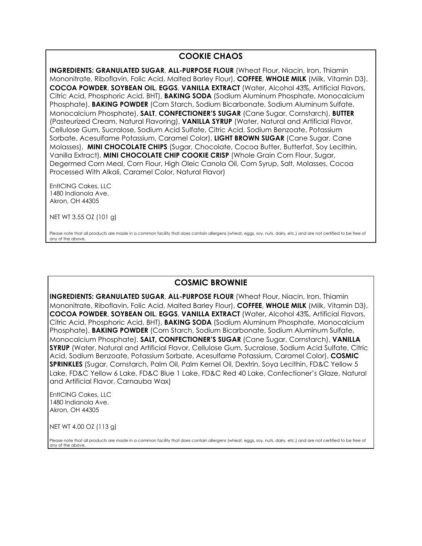## **COOKIE CHAOS**

**INGREDIENTS: GRANULATED SUGAR**, **ALL-PURPOSE FLOUR** (Wheat Flour, Niacin, Iron, Thiamin Mononitrate, Riboflavin, Folic Acid, Malted Barley Flour), **COFFEE**, **WHOLE MILK** (Milk, Vitamin D3), **COCOA POWDER**, **SOYBEAN OIL**, **EGGS**, **VANILLA EXTRACT** (Water, Alcohol 43%, Artificial Flavors, Citric Acid, Phosphoric Acid, BHT), **BAKING SODA** (Sodium Aluminum Phosphate, Monocalcium Phosphate), **BAKING POWDER** (Corn Starch, Sodium Bicarbonate, Sodium Aluminum Sulfate, Monocalcium Phosphate), **SALT**, **CONFECTIONER'S SUGAR** (Cane Sugar, Cornstarch), **BUTTER**  (Pasteurized Cream, Natural Flavoring), **VANILLA SYRUP** (Water, Natural and Artificial Flavor, Cellulose Gum, Sucralose, Sodium Acid Sulfate, Citric Acid, Sodium Benzoate, Potassium Sorbate, Acesulfame Potassium, Caramel Color), **LIGHT BROWN SUGAR** (Cane Sugar, Cane Molasses), **MINI CHOCOLATE CHIPS** (Sugar, Chocolate, Cocoa Butter, Butterfat, Soy Lecithin, Vanilla Extract), **MINI CHOCOLATE CHIP COOKIE CRISP** (Whole Grain Corn Flour, Sugar, Degermed Corn Meal, Corn Flour, High Oleic Canola Oil, Corn Syrup, Salt, Molasses, Cocoa Processed With Alkali, Caramel Color, Natural Flavor)

EntICING Cakes, LLC 1480 Indianola Ave. Akron, OH 44305

NET WT 3.55 OZ (101 g)

Please note that all products are made in a common facility that does contain allergens (wheat, eggs, soy, nuts, dairy, etc.) and are not certified to be free of any of the above.

### **COSMIC BROWNIE**

**INGREDIENTS: GRANULATED SUGAR**, **ALL-PURPOSE FLOUR** (Wheat Flour, Niacin, Iron, Thiamin Mononitrate, Riboflavin, Folic Acid, Malted Barley Flour), **COFFEE**, **WHOLE MILK** (Milk, Vitamin D3), **COCOA POWDER**, **SOYBEAN OIL**, **EGGS**, **VANILLA EXTRACT** (Water, Alcohol 43%, Artificial Flavors, Citric Acid, Phosphoric Acid, BHT), **BAKING SODA** (Sodium Aluminum Phosphate, Monocalcium Phosphate), **BAKING POWDER** (Corn Starch, Sodium Bicarbonate, Sodium Aluminum Sulfate, Monocalcium Phosphate), **SALT, CONFECTIONER'S SUGAR** (Cane Sugar, Cornstarch), **VANILLA SYRUP** (Water, Natural and Artificial Flavor, Cellulose Gum, Sucralose, Sodium Acid Sulfate, Citric Acid, Sodium Benzoate, Potassium Sorbate, Acesulfame Potassium, Caramel Color), **COSMIC SPRINKLES** (Sugar, Cornstarch, Palm Oil, Palm Kernel Oil, Dextrin, Soya Lecithin, FD&C Yellow 5 Lake, FD&C Yellow 6 Lake, FD&C Blue 1 Lake, FD&C Red 40 Lake, Confectioner's Glaze, Natural and Artificial Flavor, Carnauba Wax)

EntICING Cakes, LLC 1480 Indianola Ave. Akron, OH 44305

NET WT 4.00 OZ (113 g)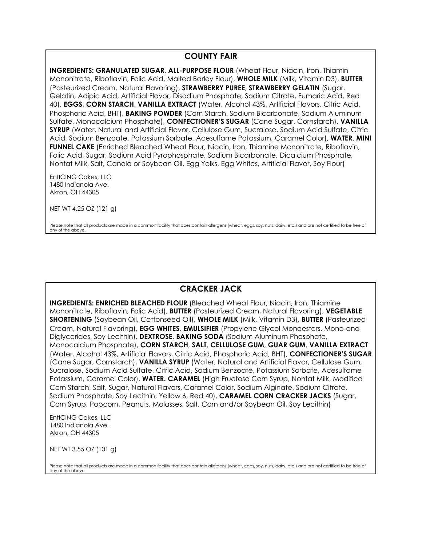## **COUNTY FAIR**

**INGREDIENTS: GRANULATED SUGAR**, **ALL-PURPOSE FLOUR** (Wheat Flour, Niacin, Iron, Thiamin Mononitrate, Riboflavin, Folic Acid, Malted Barley Flour), **WHOLE MILK** (Milk, Vitamin D3), **BUTTER** (Pasteurized Cream, Natural Flavoring), **STRAWBERRY PUREE**, **STRAWBERRY GELATIN** (Sugar, Gelatin, Adipic Acid, Artificial Flavor, Disodium Phosphate, Sodium Citrate, Fumaric Acid, Red 40), **EGGS**, **CORN STARCH**, **VANILLA EXTRACT** (Water, Alcohol 43%, Artificial Flavors, Citric Acid, Phosphoric Acid, BHT), **BAKING POWDER** (Corn Starch, Sodium Bicarbonate, Sodium Aluminum Sulfate, Monocalcium Phosphate), **CONFECTIONER'S SUGAR** (Cane Sugar, Cornstarch), **VANILLA SYRUP** (Water, Natural and Artificial Flavor, Cellulose Gum, Sucralose, Sodium Acid Sulfate, Citric Acid, Sodium Benzoate, Potassium Sorbate, Acesulfame Potassium, Caramel Color), **WATER, MINI FUNNEL CAKE** (Enriched Bleached Wheat Flour, Niacin, Iron, Thiamine Mononitrate, Riboflavin, Folic Acid, Sugar, Sodium Acid Pyrophosphate, Sodium Bicarbonate, Dicalcium Phosphate, Nonfat Milk, Salt, Canola or Soybean Oil, Egg Yolks, Egg Whites, Artificial Flavor, Soy Flour)

EntICING Cakes, LLC 1480 Indianola Ave. Akron, OH 44305

NET WT 4.25 OZ (121 g)

Please note that all products are made in a common facility that does contain allergens (wheat, eggs, soy, nuts, dairy, etc.) and are not certified to be free of any of the above.

# **CRACKER JACK**

**INGREDIENTS: ENRICHED BLEACHED FLOUR** (Bleached Wheat Flour, Niacin, Iron, Thiamine Mononitrate, Riboflavin, Folic Acid), **BUTTER** (Pasteurized Cream, Natural Flavoring), **VEGETABLE SHORTENING** (Soybean Oil, Cottonseed Oil), **WHOLE MILK** (Milk, Vitamin D3), **BUTTER** (Pasteurized Cream, Natural Flavoring), **EGG WHITES**, **EMULSIFIER** (Propylene Glycol Monoesters, Mono-and Diglycerides, Soy Lecithin), **DEXTROSE**, **BAKING SODA** (Sodium Aluminum Phosphate, Monocalcium Phosphate), **CORN STARCH**, **SALT**, **CELLULOSE GUM**, **GUAR GUM**, **VANILLA EXTRACT** (Water, Alcohol 43%, Artificial Flavors, Citric Acid, Phosphoric Acid, BHT), **CONFECTIONER'S SUGAR**  (Cane Sugar, Cornstarch), **VANILLA SYRUP** (Water, Natural and Artificial Flavor, Cellulose Gum, Sucralose, Sodium Acid Sulfate, Citric Acid, Sodium Benzoate, Potassium Sorbate, Acesulfame Potassium, Caramel Color), **WATER. CARAMEL** (High Fructose Corn Syrup, Nonfat Milk, Modified Corn Starch, Salt, Sugar, Natural Flavors, Caramel Color, Sodium Alginate, Sodium Citrate, Sodium Phosphate, Soy Lecithin, Yellow 6, Red 40), **CARAMEL CORN CRACKER JACKS** (Sugar, Corn Syrup, Popcorn, Peanuts, Molasses, Salt, Corn and/or Soybean Oil, Soy Lecithin)

EntICING Cakes, LLC 1480 Indianola Ave. Akron, OH 44305

NET WT 3.55 OZ (101 g)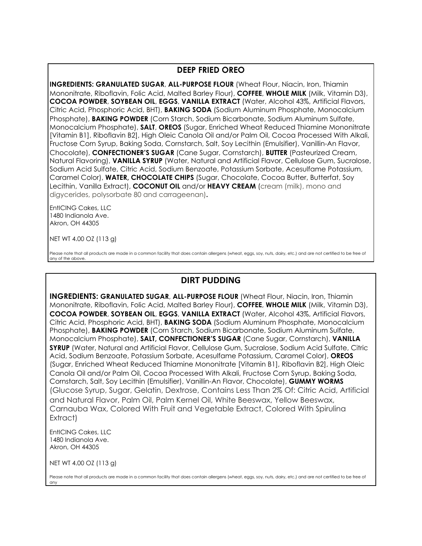## **DEEP FRIED OREO**

**INGREDIENTS: GRANULATED SUGAR**, **ALL-PURPOSE FLOUR** (Wheat Flour, Niacin, Iron, Thiamin Mononitrate, Riboflavin, Folic Acid, Malted Barley Flour), **COFFEE**, **WHOLE MILK** (Milk, Vitamin D3), **COCOA POWDER**, **SOYBEAN OIL**, **EGGS**, **VANILLA EXTRACT** (Water, Alcohol 43%, Artificial Flavors, Citric Acid, Phosphoric Acid, BHT), **BAKING SODA** (Sodium Aluminum Phosphate, Monocalcium Phosphate), **BAKING POWDER** (Corn Starch, Sodium Bicarbonate, Sodium Aluminum Sulfate, Monocalcium Phosphate), **SALT**, **OREOS** (Sugar, Enriched Wheat Reduced Thiamine Mononitrate [Vitamin B1], Riboflavin B2], High Oleic Canola Oil and/or Palm Oil, Cocoa Processed With Alkali, Fructose Corn Syrup, Baking Soda, Cornstarch, Salt, Soy Lecithin (Emulsifier), Vanillin-An Flavor, Chocolate), **CONFECTIONER'S SUGAR** (Cane Sugar, Cornstarch), **BUTTER** (Pasteurized Cream, Natural Flavoring), **VANILLA SYRUP** (Water, Natural and Artificial Flavor, Cellulose Gum, Sucralose, Sodium Acid Sulfate, Citric Acid, Sodium Benzoate, Potassium Sorbate, Acesulfame Potassium, Caramel Color), **WATER, CHOCOLATE CHIPS** (Sugar, Chocolate, Cocoa Butter, Butterfat, Soy Lecithin, Vanilla Extract), **COCONUT OIL** and/or **HEAVY CREAM** (cream (milk), mono and digycerides, polysorbate 80 and carrageenan)**.**

EntICING Cakes, LLC 1480 Indianola Ave. Akron, OH 44305

NET WT 4.00 OZ (113 g)

Please note that all products are made in a common facility that does contain allergens (wheat, eggs, soy, nuts, dairy, etc.) and are not certified to be free of any of the above.

## **DIRT PUDDING**

**INGREDIENTS: GRANULATED SUGAR**, **ALL-PURPOSE FLOUR** (Wheat Flour, Niacin, Iron, Thiamin Mononitrate, Riboflavin, Folic Acid, Malted Barley Flour), **COFFEE**, **WHOLE MILK** (Milk, Vitamin D3), **COCOA POWDER**, **SOYBEAN OIL**, **EGGS**, **VANILLA EXTRACT** (Water, Alcohol 43%, Artificial Flavors, Citric Acid, Phosphoric Acid, BHT), **BAKING SODA** (Sodium Aluminum Phosphate, Monocalcium Phosphate), **BAKING POWDER** (Corn Starch, Sodium Bicarbonate, Sodium Aluminum Sulfate, Monocalcium Phosphate), **SALT, CONFECTIONER'S SUGAR** (Cane Sugar, Cornstarch), **VANILLA SYRUP** (Water, Natural and Artificial Flavor, Cellulose Gum, Sucralose, Sodium Acid Sulfate, Citric Acid, Sodium Benzoate, Potassium Sorbate, Acesulfame Potassium, Caramel Color), **OREOS**  (Sugar, Enriched Wheat Reduced Thiamine Mononitrate [Vitamin B1], Riboflavin B2], High Oleic Canola Oil and/or Palm Oil, Cocoa Processed With Alkali, Fructose Corn Syrup, Baking Soda, Cornstarch, Salt, Soy Lecithin (Emulsifier), Vanillin-An Flavor, Chocolate), **GUMMY WORMS**  (Glucose Syrup, Sugar, Gelatin, Dextrose, Contains Less Than 2% Of: Citric Acid, Artificial and Natural Flavor, Palm Oil, Palm Kernel Oil, White Beeswax, Yellow Beeswax, Carnauba Wax, Colored With Fruit and Vegetable Extract, Colored With Spirulina Extract)

EntICING Cakes, LLC 1480 Indianola Ave. Akron, OH 44305

NET WT 4.00 OZ (113 g)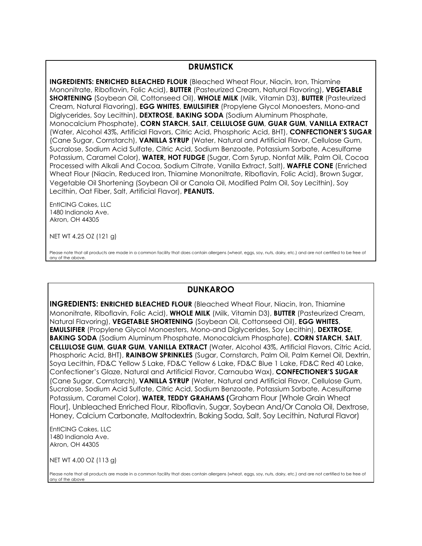#### **DRUMSTICK**

**INGREDIENTS: ENRICHED BLEACHED FLOUR** (Bleached Wheat Flour, Niacin, Iron, Thiamine Mononitrate, Riboflavin, Folic Acid), **BUTTER** (Pasteurized Cream, Natural Flavoring), **VEGETABLE SHORTENING** (Soybean Oil, Cottonseed Oil), **WHOLE MILK** (Milk, Vitamin D3), **BUTTER** (Pasteurized Cream, Natural Flavoring), **EGG WHITES**, **EMULSIFIER** (Propylene Glycol Monoesters, Mono-and Diglycerides, Soy Lecithin), **DEXTROSE**, **BAKING SODA** (Sodium Aluminum Phosphate, Monocalcium Phosphate), **CORN STARCH**, **SALT**, **CELLULOSE GUM**, **GUAR GUM**, **VANILLA EXTRACT** (Water, Alcohol 43%, Artificial Flavors, Citric Acid, Phosphoric Acid, BHT), **CONFECTIONER'S SUGAR**  (Cane Sugar, Cornstarch), **VANILLA SYRUP** (Water, Natural and Artificial Flavor, Cellulose Gum, Sucralose, Sodium Acid Sulfate, Citric Acid, Sodium Benzoate, Potassium Sorbate, Acesulfame Potassium, Caramel Color), **WATER, HOT FUDGE** (Sugar, Corn Syrup, Nonfat Milk, Palm Oil, Cocoa Processed with Alkali And Cocoa, Sodium Citrate, Vanilla Extract, Salt), **WAFFLE CONE** (Enriched Wheat Flour (Niacin, Reduced Iron, Thiamine Mononitrate, Riboflavin, Folic Acid), Brown Sugar, Vegetable Oil Shortening (Soybean Oil or Canola Oil, Modified Palm Oil, Soy Lecithin), Soy Lecithin, Oat Fiber, Salt, Artificial Flavor), **PEANUTS.**

EntICING Cakes, LLC 1480 Indianola Ave. Akron, OH 44305

NET WT 4.25 OZ (121 g)

Please note that all products are made in a common facility that does contain allergens (wheat, eggs, soy, nuts, dairy, etc.) and are not certified to be free of any of the above.

### **DUNKAROO**

**INGREDIENTS: ENRICHED BLEACHED FLOUR** (Bleached Wheat Flour, Niacin, Iron, Thiamine Mononitrate, Riboflavin, Folic Acid), **WHOLE MILK** (Milk, Vitamin D3), **BUTTER** (Pasteurized Cream, Natural Flavoring), **VEGETABLE SHORTENING** (Soybean Oil, Cottonseed Oil), **EGG WHITES**, **EMULSIFIER** (Propylene Glycol Monoesters, Mono-and Diglycerides, Soy Lecithin), **DEXTROSE**, **BAKING SODA** (Sodium Aluminum Phosphate, Monocalcium Phosphate), **CORN STARCH**, **SALT**, **CELLULOSE GUM**, **GUAR GUM**, **VANILLA EXTRACT** (Water, Alcohol 43%, Artificial Flavors, Citric Acid, Phosphoric Acid, BHT), **RAINBOW SPRINKLES** (Sugar, Cornstarch, Palm Oil, Palm Kernel Oil, Dextrin, Soya Lecithin, FD&C Yellow 5 Lake, FD&C Yellow 6 Lake, FD&C Blue 1 Lake, FD&C Red 40 Lake, Confectioner's Glaze, Natural and Artificial Flavor, Carnauba Wax), **CONFECTIONER'S SUGAR**  (Cane Sugar, Cornstarch), **VANILLA SYRUP** (Water, Natural and Artificial Flavor, Cellulose Gum, Sucralose, Sodium Acid Sulfate, Citric Acid, Sodium Benzoate, Potassium Sorbate, Acesulfame Potassium, Caramel Color), **WATER, TEDDY GRAHAMS (**Graham Flour [Whole Grain Wheat Flour], Unbleached Enriched Flour, Riboflavin, Sugar, Soybean And/Or Canola Oil, Dextrose, Honey, Calcium Carbonate, Maltodextrin, Baking Soda, Salt, Soy Lecithin, Natural Flavor)

EntICING Cakes, LLC 1480 Indianola Ave. Akron, OH 44305

NET WT 4.00 OZ (113 g)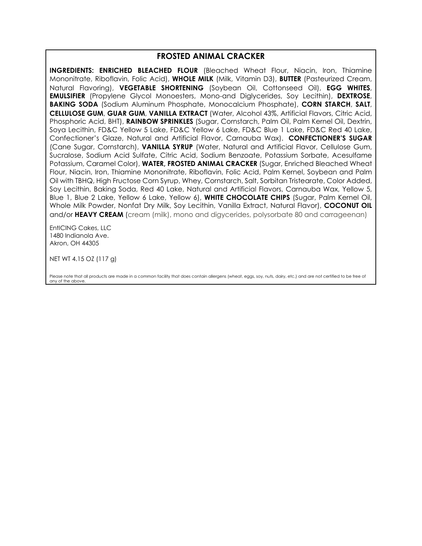#### **FROSTED ANIMAL CRACKER**

**INGREDIENTS: ENRICHED BLEACHED FLOUR** (Bleached Wheat Flour, Niacin, Iron, Thiamine Mononitrate, Riboflavin, Folic Acid), **WHOLE MILK** (Milk, Vitamin D3), **BUTTER** (Pasteurized Cream, Natural Flavoring), **VEGETABLE SHORTENING** (Soybean Oil, Cottonseed Oil), **EGG WHITES**, **EMULSIFIER** (Propylene Glycol Monoesters, Mono-and Diglycerides, Soy Lecithin), **DEXTROSE**, **BAKING SODA** (Sodium Aluminum Phosphate, Monocalcium Phosphate), **CORN STARCH**, **SALT**, **CELLULOSE GUM**, **GUAR GUM**, **VANILLA EXTRACT** (Water, Alcohol 43%, Artificial Flavors, Citric Acid, Phosphoric Acid, BHT), **RAINBOW SPRINKLES** (Sugar, Cornstarch, Palm Oil, Palm Kernel Oil, Dextrin, Soya Lecithin, FD&C Yellow 5 Lake, FD&C Yellow 6 Lake, FD&C Blue 1 Lake, FD&C Red 40 Lake, Confectioner's Glaze, Natural and Artificial Flavor, Carnauba Wax). **CONFECTIONER'S SUGAR**  (Cane Sugar, Cornstarch), **VANILLA SYRUP** (Water, Natural and Artificial Flavor, Cellulose Gum, Sucralose, Sodium Acid Sulfate, Citric Acid, Sodium Benzoate, Potassium Sorbate, Acesulfame Potassium, Caramel Color), **WATER, FROSTED ANIMAL CRACKER** (Sugar, Enriched Bleached Wheat Flour, Niacin, Iron, Thiamine Mononitrate, Riboflavin, Folic Acid, Palm Kernel, Soybean and Palm Oil with TBHQ, High Fructose Corn Syrup, Whey, Cornstarch, Salt, Sorbitan Tristearate, Color Added, Soy Lecithin, Baking Soda, Red 40 Lake, Natural and Artificial Flavors, Carnauba Wax, Yellow 5, Blue 1, Blue 2 Lake, Yellow 6 Lake, Yellow 6), **WHITE CHOCOLATE CHIPS** (Sugar, Palm Kernel Oil, Whole Milk Powder, Nonfat Dry Milk, Soy Lecithin, Vanilla Extract, Natural Flavor), **COCONUT OIL**  and/or **HEAVY CREAM** (cream (milk), mono and digycerides, polysorbate 80 and carrageenan)

EntICING Cakes, LLC 1480 Indianola Ave. Akron, OH 44305

NET WT 4.15 OZ (117 g)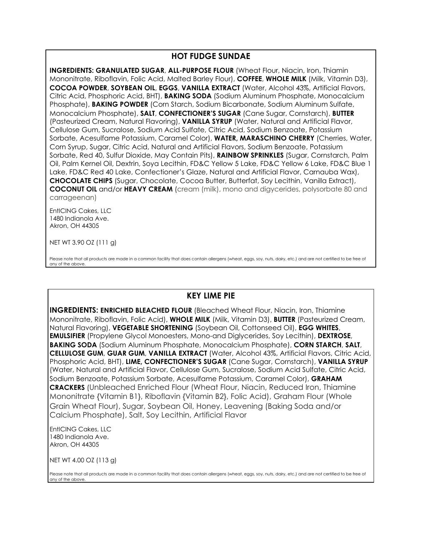### **HOT FUDGE SUNDAE**

**INGREDIENTS: GRANULATED SUGAR**, **ALL-PURPOSE FLOUR** (Wheat Flour, Niacin, Iron, Thiamin Mononitrate, Riboflavin, Folic Acid, Malted Barley Flour), **COFFEE**, **WHOLE MILK** (Milk, Vitamin D3), **COCOA POWDER**, **SOYBEAN OIL**, **EGGS**, **VANILLA EXTRACT** (Water, Alcohol 43%, Artificial Flavors, Citric Acid, Phosphoric Acid, BHT), **BAKING SODA** (Sodium Aluminum Phosphate, Monocalcium Phosphate), **BAKING POWDER** (Corn Starch, Sodium Bicarbonate, Sodium Aluminum Sulfate, Monocalcium Phosphate), **SALT**, **CONFECTIONER'S SUGAR** (Cane Sugar, Cornstarch), **BUTTER**  (Pasteurized Cream, Natural Flavoring), **VANILLA SYRUP** (Water, Natural and Artificial Flavor, Cellulose Gum, Sucralose, Sodium Acid Sulfate, Citric Acid, Sodium Benzoate, Potassium Sorbate, Acesulfame Potassium, Caramel Color), **WATER, MARASCHINO CHERRY** (Cherries, Water, Corn Syrup, Sugar, Citric Acid, Natural and Artificial Flavors, Sodium Benzoate, Potassium Sorbate, Red 40, Sulfur Dioxide, May Contain Pits), **RAINBOW SPRINKLES** (Sugar, Cornstarch, Palm Oil, Palm Kernel Oil, Dextrin, Soya Lecithin, FD&C Yellow 5 Lake, FD&C Yellow 6 Lake, FD&C Blue 1 Lake, FD&C Red 40 Lake, Confectioner's Glaze, Natural and Artificial Flavor, Carnauba Wax), **CHOCOLATE CHIPS** (Sugar, Chocolate, Cocoa Butter, Butterfat, Soy Lecithin, Vanilla Extract), **COCONUT OIL** and/or **HEAVY CREAM** (cream (milk), mono and digycerides, polysorbate 80 and carrageenan)

EntICING Cakes, LLC 1480 Indianola Ave. Akron, OH 44305

NET WT 3.90 OZ (111 g)

Please note that all products are made in a common facility that does contain allergens (wheat, eggs, soy, nuts, dairy, etc.) and are not certified to be free of any of the above.

### **KEY LIME PIE**

**INGREDIENTS: ENRICHED BLEACHED FLOUR** (Bleached Wheat Flour, Niacin, Iron, Thiamine Mononitrate, Riboflavin, Folic Acid), **WHOLE MILK** (Milk, Vitamin D3), **BUTTER** (Pasteurized Cream, Natural Flavoring), **VEGETABLE SHORTENING** (Soybean Oil, Cottonseed Oil), **EGG WHITES**, **EMULSIFIER** (Propylene Glycol Monoesters, Mono-and Diglycerides, Soy Lecithin), **DEXTROSE**, **BAKING SODA** (Sodium Aluminum Phosphate, Monocalcium Phosphate), **CORN STARCH**, **SALT**, **CELLULOSE GUM**, **GUAR GUM**, **VANILLA EXTRACT** (Water, Alcohol 43%, Artificial Flavors, Citric Acid, Phosphoric Acid, BHT), **LIME, CONFECTIONER'S SUGAR** (Cane Sugar, Cornstarch), **VANILLA SYRUP**  (Water, Natural and Artificial Flavor, Cellulose Gum, Sucralose, Sodium Acid Sulfate, Citric Acid, Sodium Benzoate, Potassium Sorbate, Acesulfame Potassium, Caramel Color), **GRAHAM CRACKERS** (Unbleached Enriched Flour (Wheat Flour, Niacin, Reduced Iron, Thiamine Mononitrate {Vitamin B1}, Riboflavin {Vitamin B2}, Folic Acid), Graham Flour (Whole Grain Wheat Flour), Sugar, Soybean Oil, Honey, Leavening (Baking Soda and/or Calcium Phosphate), Salt, Soy Lecithin, Artificial Flavor

EntICING Cakes, LLC 1480 Indianola Ave. Akron, OH 44305

NET WT 4.00 OZ (113 g)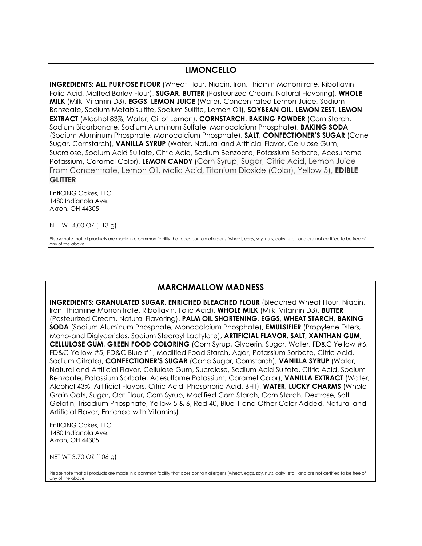## **LIMONCELLO**

**INGREDIENTS: ALL PURPOSE FLOUR** (Wheat Flour, Niacin, Iron, Thiamin Mononitrate, Riboflavin, Folic Acid, Malted Barley Flour), **SUGAR**, **BUTTER** (Pasteurized Cream, Natural Flavoring), **WHOLE MILK** (Milk, Vitamin D3), **EGGS**, **LEMON JUICE** (Water, Concentrated Lemon Juice, Sodium Benzoate, Sodium Metabisulfite, Sodium Sulfite, Lemon Oil), **SOYBEAN OIL**, **LEMON ZEST**, **LEMON EXTRACT** (Alcohol 83%, Water, Oil of Lemon), **CORNSTARCH**, **BAKING POWDER** (Corn Starch, Sodium Bicarbonate, Sodium Aluminum Sulfate, Monocalcium Phosphate), **BAKING SODA** (Sodium Aluminum Phosphate, Monocalcium Phosphate), **SALT, CONFECTIONER'S SUGAR** (Cane Sugar, Cornstarch), **VANILLA SYRUP** (Water, Natural and Artificial Flavor, Cellulose Gum, Sucralose, Sodium Acid Sulfate, Citric Acid, Sodium Benzoate, Potassium Sorbate, Acesulfame Potassium, Caramel Color), **LEMON CANDY** (Corn Syrup, Sugar, Citric Acid, Lemon Juice From Concentrate, Lemon Oil, Malic Acid, Titanium Dioxide (Color), Yellow 5), **EDIBLE GLITTER**

EntICING Cakes, LLC 1480 Indianola Ave. Akron, OH 44305

NET WT 4.00 OZ (113 g)

Please note that all products are made in a common facility that does contain allergens (wheat, eggs, soy, nuts, dairy, etc.) and are not certified to be free of any of the above.

## **MARCHMALLOW MADNESS**

**INGREDIENTS: GRANULATED SUGAR**, **ENRICHED BLEACHED FLOUR** (Bleached Wheat Flour, Niacin, Iron, Thiamine Mononitrate, Riboflavin, Folic Acid), **WHOLE MILK** (Milk, Vitamin D3), **BUTTER**  (Pasteurized Cream, Natural Flavoring), **PALM OIL SHORTENING**, **EGGS**, **WHEAT STARCH**, **BAKING SODA** (Sodium Aluminum Phosphate, Monocalcium Phosphate), **EMULSIFIER** (Propylene Esters, Mono-and Diglycerides, Sodium Stearoyl Lactylate), **ARTIFICIAL FLAVOR**, **SALT**, **XANTHAN GUM**, **CELLULOSE GUM**, **GREEN FOOD COLORING** (Corn Syrup, Glycerin, Sugar, Water, FD&C Yellow #6, FD&C Yellow #5, FD&C Blue #1, Modified Food Starch, Agar, Potassium Sorbate, Citric Acid, Sodium Citrate), **CONFECTIONER'S SUGAR** (Cane Sugar, Cornstarch), **VANILLA SYRUP** (Water, Natural and Artificial Flavor, Cellulose Gum, Sucralose, Sodium Acid Sulfate, Citric Acid, Sodium Benzoate, Potassium Sorbate, Acesulfame Potassium, Caramel Color), **VANILLA EXTRACT** (Water, Alcohol 43%, Artificial Flavors, Citric Acid, Phosphoric Acid, BHT), **WATER, LUCKY CHARMS** (Whole Grain Oats, Sugar, Oat Flour, Corn Syrup, Modified Corn Starch, Corn Starch, Dextrose, Salt Gelatin, Trisodium Phosphate, Yellow 5 & 6, Red 40, Blue 1 and Other Color Added, Natural and Artificial Flavor, Enriched with Vitamins)

EntICING Cakes, LLC 1480 Indianola Ave. Akron, OH 44305

NET WT 3.70 OZ (106 g)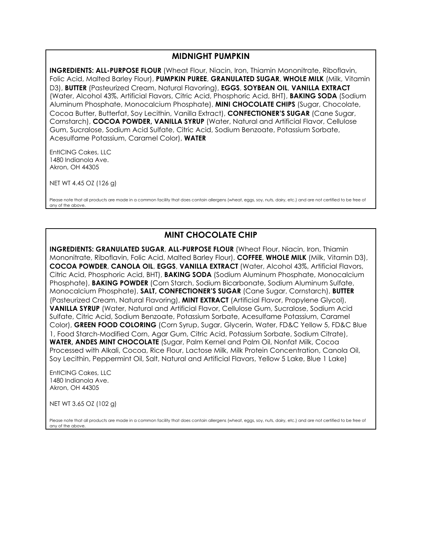#### **MIDNIGHT PUMPKIN**

**INGREDIENTS: ALL-PURPOSE FLOUR** (Wheat Flour, Niacin, Iron, Thiamin Mononitrate, Riboflavin, Folic Acid, Malted Barley Flour), **PUMPKIN PUREE**, **GRANULATED SUGAR**, **WHOLE MILK** (Milk, Vitamin D3), **BUTTER** (Pasteurized Cream, Natural Flavoring), **EGGS**, **SOYBEAN OIL**, **VANILLA EXTRACT** (Water, Alcohol 43%, Artificial Flavors, Citric Acid, Phosphoric Acid, BHT), **BAKING SODA** (Sodium Aluminum Phosphate, Monocalcium Phosphate), **MINI CHOCOLATE CHIPS** (Sugar, Chocolate, Cocoa Butter, Butterfat, Soy Lecithin, Vanilla Extract), **CONFECTIONER'S SUGAR** (Cane Sugar, Cornstarch), **COCOA POWDER, VANILLA SYRUP** (Water, Natural and Artificial Flavor, Cellulose Gum, Sucralose, Sodium Acid Sulfate, Citric Acid, Sodium Benzoate, Potassium Sorbate, Acesulfame Potassium, Caramel Color), **WATER**

EntICING Cakes, LLC 1480 Indianola Ave. Akron, OH 44305

NET WT 4.45 OZ (126 g)

Please note that all products are made in a common facility that does contain allergens (wheat, eggs, soy, nuts, dairy, etc.) and are not certified to be free of any of the above.

### **MINT CHOCOLATE CHIP**

**INGREDIENTS: GRANULATED SUGAR**, **ALL-PURPOSE FLOUR** (Wheat Flour, Niacin, Iron, Thiamin Mononitrate, Riboflavin, Folic Acid, Malted Barley Flour), **COFFEE**, **WHOLE MILK** (Milk, Vitamin D3), **COCOA POWDER**, **CANOLA OIL**, **EGGS**, **VANILLA EXTRACT** (Water, Alcohol 43%, Artificial Flavors, Citric Acid, Phosphoric Acid, BHT), **BAKING SODA** (Sodium Aluminum Phosphate, Monocalcium Phosphate), **BAKING POWDER** (Corn Starch, Sodium Bicarbonate, Sodium Aluminum Sulfate, Monocalcium Phosphate), **SALT, CONFECTIONER'S SUGAR** (Cane Sugar, Cornstarch), **BUTTER**  (Pasteurized Cream, Natural Flavoring), **MINT EXTRACT** (Artificial Flavor, Propylene Glycol), **VANILLA SYRUP** (Water, Natural and Artificial Flavor, Cellulose Gum, Sucralose, Sodium Acid Sulfate, Citric Acid, Sodium Benzoate, Potassium Sorbate, Acesulfame Potassium, Caramel Color), **GREEN FOOD COLORING** (Corn Syrup, Sugar, Glycerin, Water, FD&C Yellow 5, FD&C Blue 1, Food Starch-Modified Corn, Agar Gum, Citric Acid, Potassium Sorbate, Sodium Citrate), **WATER, ANDES MINT CHOCOLATE** (Sugar, Palm Kernel and Palm Oil, Nonfat Milk, Cocoa Processed with Alkali, Cocoa, Rice Flour, Lactose Milk, Milk Protein Concentration, Canola Oil, Soy Lecithin, Peppermint Oil, Salt, Natural and Artificial Flavors, Yellow 5 Lake, Blue 1 Lake)

EntICING Cakes, LLC 1480 Indianola Ave. Akron, OH 44305

NET WT 3.65 OZ (102 g)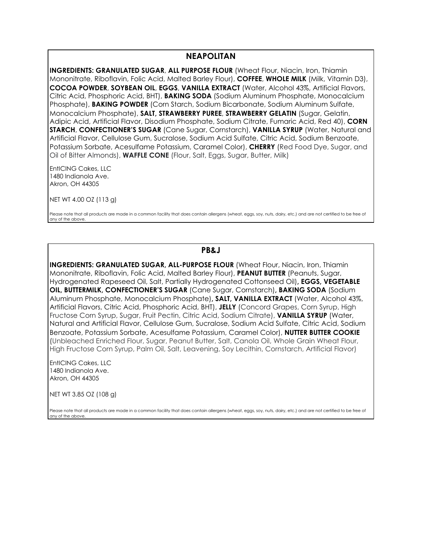#### **NEAPOLITAN**

**INGREDIENTS: GRANULATED SUGAR**, **ALL PURPOSE FLOUR** (Wheat Flour, Niacin, Iron, Thiamin Mononitrate, Riboflavin, Folic Acid, Malted Barley Flour), **COFFEE**, **WHOLE MILK** (Milk, Vitamin D3), **COCOA POWDER**, **SOYBEAN OIL**, **EGGS**, **VANILLA EXTRACT** (Water, Alcohol 43%, Artificial Flavors, Citric Acid, Phosphoric Acid, BHT), **BAKING SODA** (Sodium Aluminum Phosphate, Monocalcium Phosphate), **BAKING POWDER** (Corn Starch, Sodium Bicarbonate, Sodium Aluminum Sulfate, Monocalcium Phosphate), **SALT, STRAWBERRY PUREE**, **STRAWBERRY GELATIN** (Sugar, Gelatin, Adipic Acid, Artificial Flavor, Disodium Phosphate, Sodium Citrate, Fumaric Acid, Red 40), **CORN STARCH**, **CONFECTIONER'S SUGAR** (Cane Sugar, Cornstarch), **VANILLA SYRUP** (Water, Natural and Artificial Flavor, Cellulose Gum, Sucralose, Sodium Acid Sulfate, Citric Acid, Sodium Benzoate, Potassium Sorbate, Acesulfame Potassium, Caramel Color), **CHERRY** (Red Food Dye, Sugar, and Oil of Bitter Almonds), **WAFFLE CONE** (Flour, Salt, Eggs, Sugar, Butter, Milk)

EntICING Cakes, LLC 1480 Indianola Ave. Akron, OH 44305

NET WT 4.00 OZ (113 g)

Please note that all products are made in a common facility that does contain allergens (wheat, eggs, soy, nuts, dairy, etc.) and are not certified to be free of any of the above.

#### **PB&J**

**INGREDIENTS: GRANULATED SUGAR, ALL-PURPOSE FLOUR (Wheat Flour, Niacin, Iron, Thiamin** Mononitrate, Riboflavin, Folic Acid, Malted Barley Flour), **PEANUT BUTTER** (Peanuts, Sugar, Hydrogenated Rapeseed Oil, Salt, Partially Hydrogenated Cottonseed Oil)**, EGGS, VEGETABLE OIL, BUTTERMILK, CONFECTIONER'S SUGAR** (Cane Sugar, Cornstarch)**, BAKING SODA** (Sodium Aluminum Phosphate, Monocalcium Phosphate)**, SALT, VANILLA EXTRACT** (Water, Alcohol 43%, Artificial Flavors, Citric Acid, Phosphoric Acid, BHT), **JELLY** (Concord Grapes, Corn Syrup, High Fructose Corn Syrup, Sugar, Fruit Pectin, Citric Acid, Sodium Citrate), **VANILLA SYRUP** (Water, Natural and Artificial Flavor, Cellulose Gum, Sucralose, Sodium Acid Sulfate, Citric Acid, Sodium Benzoate, Potassium Sorbate, Acesulfame Potassium, Caramel Color), **NUTTER BUTTER COOKIE** (Unbleached Enriched Flour, Sugar, Peanut Butter, Salt, Canola Oil, Whole Grain Wheat Flour, High Fructose Corn Syrup, Palm Oil, Salt, Leavening, Soy Lecithin, Cornstarch, Artificial Flavor)

EntICING Cakes, LLC 1480 Indianola Ave. Akron, OH 44305

NET WT 3.85 OZ (108 g)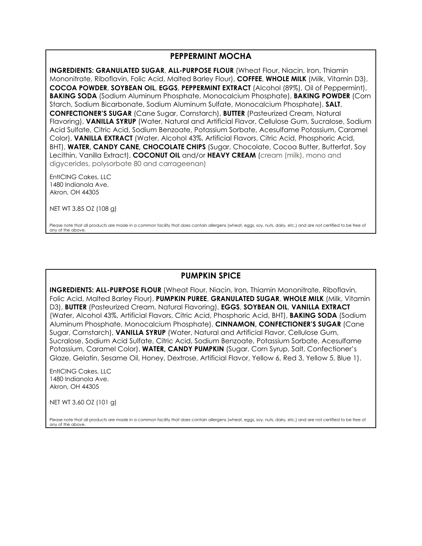#### **PEPPERMINT MOCHA**

**INGREDIENTS: GRANULATED SUGAR**, **ALL-PURPOSE FLOUR** (Wheat Flour, Niacin, Iron, Thiamin Mononitrate, Riboflavin, Folic Acid, Malted Barley Flour), **COFFEE**, **WHOLE MILK** (Milk, Vitamin D3), **COCOA POWDER**, **SOYBEAN OIL**, **EGGS**, **PEPPERMINT EXTRACT** (Alcohol (89%), Oil of Peppermint), **BAKING SODA** (Sodium Aluminum Phosphate, Monocalcium Phosphate), **BAKING POWDER** (Corn Starch, Sodium Bicarbonate, Sodium Aluminum Sulfate, Monocalcium Phosphate), **SALT**, **CONFECTIONER'S SUGAR** (Cane Sugar, Cornstarch), **BUTTER** (Pasteurized Cream, Natural Flavoring), **VANILLA SYRUP** (Water, Natural and Artificial Flavor, Cellulose Gum, Sucralose, Sodium Acid Sulfate, Citric Acid, Sodium Benzoate, Potassium Sorbate, Acesulfame Potassium, Caramel Color), **VANILLA EXTRACT** (Water, Alcohol 43%, Artificial Flavors, Citric Acid, Phosphoric Acid, BHT), **WATER, CANDY CANE, CHOCOLATE CHIPS** (Sugar, Chocolate, Cocoa Butter, Butterfat, Soy Lecithin, Vanilla Extract), **COCONUT OIL** and/or **HEAVY CREAM** (cream (milk), mono and digycerides, polysorbate 80 and carrageenan)

EntICING Cakes, LLC 1480 Indianola Ave. Akron, OH 44305

NET WT 3.85 OZ (108 g)

Please note that all products are made in a common facility that does contain allergens (wheat, eggs, soy, nuts, dairy, etc.) and are not certified to be free of any of the above.

### **PUMPKIN SPICE**

**INGREDIENTS: ALL-PURPOSE FLOUR** (Wheat Flour, Niacin, Iron, Thiamin Mononitrate, Riboflavin, Folic Acid, Malted Barley Flour), **PUMPKIN PUREE**, **GRANULATED SUGAR**, **WHOLE MILK** (Milk, Vitamin D3), **BUTTER** (Pasteurized Cream, Natural Flavoring), **EGGS**, **SOYBEAN OIL**, **VANILLA EXTRACT** (Water, Alcohol 43%, Artificial Flavors, Citric Acid, Phosphoric Acid, BHT), **BAKING SODA** (Sodium Aluminum Phosphate, Monocalcium Phosphate), **CINNAMON, CONFECTIONER'S SUGAR** (Cane Sugar, Cornstarch), **VANILLA SYRUP** (Water, Natural and Artificial Flavor, Cellulose Gum, Sucralose, Sodium Acid Sulfate, Citric Acid, Sodium Benzoate, Potassium Sorbate, Acesulfame Potassium, Caramel Color), **WATER, CANDY PUMPKIN** (Sugar, Corn Syrup, Salt, Confectioner's Glaze, Gelatin, Sesame Oil, Honey, Dextrose, Artificial Flavor, Yellow 6, Red 3, Yellow 5, Blue 1).

EntICING Cakes, LLC 1480 Indianola Ave. Akron, OH 44305

NET WT 3.60 OZ (101 g)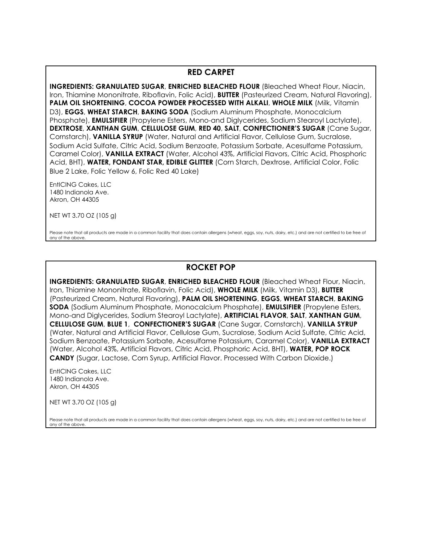#### **RED CARPET**

**INGREDIENTS: GRANULATED SUGAR**, **ENRICHED BLEACHED FLOUR** (Bleached Wheat Flour, Niacin, Iron, Thiamine Mononitrate, Riboflavin, Folic Acid), **BUTTER** (Pasteurized Cream, Natural Flavoring), **PALM OIL SHORTENING**, **COCOA POWDER PROCESSED WITH ALKALI**, **WHOLE MILK** (Milk, Vitamin D3), **EGGS**, **WHEAT STARCH**, **BAKING SODA** (Sodium Aluminum Phosphate, Monocalcium Phosphate), **EMULSIFIER** (Propylene Esters, Mono-and Diglycerides, Sodium Stearoyl Lactylate), **DEXTROSE**, **XANTHAN GUM**, **CELLULOSE GUM**, **RED 40**, **SALT**, **CONFECTIONER'S SUGAR** (Cane Sugar, Cornstarch), **VANILLA SYRUP** (Water, Natural and Artificial Flavor, Cellulose Gum, Sucralose, Sodium Acid Sulfate, Citric Acid, Sodium Benzoate, Potassium Sorbate, Acesulfame Potassium, Caramel Color), **VANILLA EXTRACT** (Water, Alcohol 43%, Artificial Flavors, Citric Acid, Phosphoric Acid, BHT), **WATER, FONDANT STAR, EDIBLE GLITTER** (Corn Starch, Dextrose, Artificial Color, Folic Blue 2 Lake, Folic Yellow 6, Folic Red 40 Lake)

EntICING Cakes, LLC 1480 Indianola Ave. Akron, OH 44305

NET WT 3.70 OZ (105 g)

Please note that all products are made in a common facility that does contain allergens (wheat, eggs, soy, nuts, dairy, etc.) and are not certified to be free of any of the above.

## **ROCKET POP**

**INGREDIENTS: GRANULATED SUGAR**, **ENRICHED BLEACHED FLOUR** (Bleached Wheat Flour, Niacin, Iron, Thiamine Mononitrate, Riboflavin, Folic Acid), **WHOLE MILK** (Milk, Vitamin D3), **BUTTER**  (Pasteurized Cream, Natural Flavoring), **PALM OIL SHORTENING**, **EGGS**, **WHEAT STARCH**, **BAKING SODA** (Sodium Aluminum Phosphate, Monocalcium Phosphate), **EMULSIFIER** (Propylene Esters, Mono-and Diglycerides, Sodium Stearoyl Lactylate), **ARTIFICIAL FLAVOR**, **SALT**, **XANTHAN GUM**, **CELLULOSE GUM**, **BLUE 1**, **CONFECTIONER'S SUGAR** (Cane Sugar, Cornstarch), **VANILLA SYRUP**  (Water, Natural and Artificial Flavor, Cellulose Gum, Sucralose, Sodium Acid Sulfate, Citric Acid, Sodium Benzoate, Potassium Sorbate, Acesulfame Potassium, Caramel Color), **VANILLA EXTRACT**  (Water, Alcohol 43%, Artificial Flavors, Citric Acid, Phosphoric Acid, BHT), **WATER, POP ROCK CANDY** (Sugar, Lactose, Corn Syrup, Artificial Flavor. Processed With Carbon Dioxide.)

EntICING Cakes, LLC 1480 Indianola Ave. Akron, OH 44305

NET WT 3.70 OZ (105 g)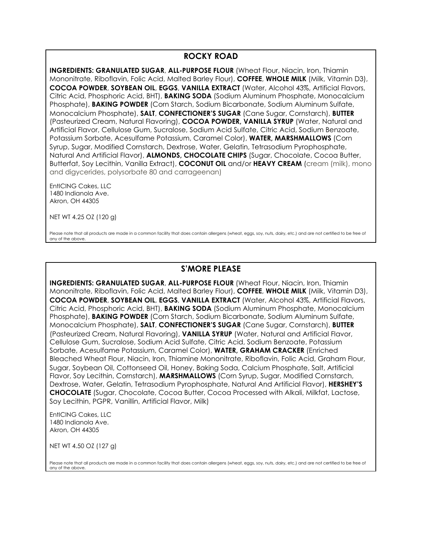### **ROCKY ROAD**

**INGREDIENTS: GRANULATED SUGAR**, **ALL-PURPOSE FLOUR** (Wheat Flour, Niacin, Iron, Thiamin Mononitrate, Riboflavin, Folic Acid, Malted Barley Flour), **COFFEE**, **WHOLE MILK** (Milk, Vitamin D3), **COCOA POWDER**, **SOYBEAN OIL**, **EGGS**, **VANILLA EXTRACT** (Water, Alcohol 43%, Artificial Flavors, Citric Acid, Phosphoric Acid, BHT), **BAKING SODA** (Sodium Aluminum Phosphate, Monocalcium Phosphate), **BAKING POWDER** (Corn Starch, Sodium Bicarbonate, Sodium Aluminum Sulfate, Monocalcium Phosphate), **SALT**, **CONFECTIONER'S SUGAR** (Cane Sugar, Cornstarch), **BUTTER**  (Pasteurized Cream, Natural Flavoring), **COCOA POWDER, VANILLA SYRUP** (Water, Natural and Artificial Flavor, Cellulose Gum, Sucralose, Sodium Acid Sulfate, Citric Acid, Sodium Benzoate, Potassium Sorbate, Acesulfame Potassium, Caramel Color), **WATER, MARSHMALLOWS** (Corn Syrup, Sugar, Modified Cornstarch, Dextrose, Water, Gelatin, Tetrasodium Pyrophosphate, Natural And Artificial Flavor), **ALMONDS, CHOCOLATE CHIPS** (Sugar, Chocolate, Cocoa Butter, Butterfat, Soy Lecithin, Vanilla Extract), **COCONUT OIL** and/or **HEAVY CREAM** (cream (milk), mono and digycerides, polysorbate 80 and carrageenan)

EntICING Cakes, LLC 1480 Indianola Ave. Akron, OH 44305

NET WT 4.25 OZ (120 g)

Please note that all products are made in a common facility that does contain allergens (wheat, eggs, soy, nuts, dairy, etc.) and are not certified to be free of any of the above.

## **S'MORE PLEASE**

**INGREDIENTS: GRANULATED SUGAR**, **ALL-PURPOSE FLOUR** (Wheat Flour, Niacin, Iron, Thiamin Mononitrate, Riboflavin, Folic Acid, Malted Barley Flour), **COFFEE**, **WHOLE MILK** (Milk, Vitamin D3), **COCOA POWDER**, **SOYBEAN OIL**, **EGGS**, **VANILLA EXTRACT** (Water, Alcohol 43%, Artificial Flavors, Citric Acid, Phosphoric Acid, BHT), **BAKING SODA** (Sodium Aluminum Phosphate, Monocalcium Phosphate), **BAKING POWDER** (Corn Starch, Sodium Bicarbonate, Sodium Aluminum Sulfate, Monocalcium Phosphate), **SALT**, **CONFECTIONER'S SUGAR** (Cane Sugar, Cornstarch), **BUTTER**  (Pasteurized Cream, Natural Flavoring), **VANILLA SYRUP** (Water, Natural and Artificial Flavor, Cellulose Gum, Sucralose, Sodium Acid Sulfate, Citric Acid, Sodium Benzoate, Potassium Sorbate, Acesulfame Potassium, Caramel Color), **WATER, GRAHAM CRACKER** (Enriched Bleached Wheat Flour, Niacin, Iron, Thiamine Mononitrate, Riboflavin, Folic Acid, Graham Flour, Sugar, Soybean Oil, Cottonseed Oil, Honey, Baking Soda, Calcium Phosphate, Salt, Artificial Flavor, Soy Lecithin, Cornstarch), **MARSHMALLOWS** (Corn Syrup, Sugar, Modified Cornstarch, Dextrose, Water, Gelatin, Tetrasodium Pyrophosphate, Natural And Artificial Flavor), **HERSHEY'S CHOCOLATE** (Sugar, Chocolate, Cocoa Butter, Cocoa Processed with Alkali, Milkfat, Lactose, Soy Lecithin, PGPR, Vanillin, Artificial Flavor, Milk)

EntICING Cakes, LLC 1480 Indianola Ave. Akron, OH 44305

NET WT 4.50 OZ (127 g)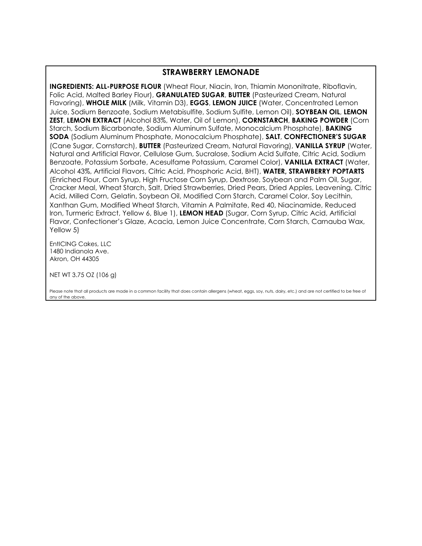#### **STRAWBERRY LEMONADE**

**INGREDIENTS: ALL-PURPOSE FLOUR** (Wheat Flour, Niacin, Iron, Thiamin Mononitrate, Riboflavin, Folic Acid, Malted Barley Flour), **GRANULATED SUGAR**, **BUTTER** (Pasteurized Cream, Natural Flavoring), **WHOLE MILK** (Milk, Vitamin D3), **EGGS**, **LEMON JUICE** (Water, Concentrated Lemon Juice, Sodium Benzoate, Sodium Metabisulfite, Sodium Sulfite, Lemon Oil), **SOYBEAN OIL**, **LEMON ZEST**, **LEMON EXTRACT** (Alcohol 83%, Water, Oil of Lemon), **CORNSTARCH**, **BAKING POWDER** (Corn Starch, Sodium Bicarbonate, Sodium Aluminum Sulfate, Monocalcium Phosphate), **BAKING SODA** (Sodium Aluminum Phosphate, Monocalcium Phosphate), **SALT**, **CONFECTIONER'S SUGAR**  (Cane Sugar, Cornstarch), **BUTTER** (Pasteurized Cream, Natural Flavoring), **VANILLA SYRUP** (Water, Natural and Artificial Flavor, Cellulose Gum, Sucralose, Sodium Acid Sulfate, Citric Acid, Sodium Benzoate, Potassium Sorbate, Acesulfame Potassium, Caramel Color), **VANILLA EXTRACT** (Water, Alcohol 43%, Artificial Flavors, Citric Acid, Phosphoric Acid, BHT), **WATER, STRAWBERRY POPTARTS** (Enriched Flour, Corn Syrup, High Fructose Corn Syrup, Dextrose, Soybean and Palm Oil, Sugar, Cracker Meal, Wheat Starch, Salt, Dried Strawberries, Dried Pears, Dried Apples, Leavening, Citric Acid, Milled Corn, Gelatin, Soybean Oil, Modified Corn Starch, Caramel Color, Soy Lecithin, Xanthan Gum, Modified Wheat Starch, Vitamin A Palmitate, Red 40, Niacinamide, Reduced Iron, Turmeric Extract, Yellow 6, Blue 1), **LEMON HEAD** (Sugar, Corn Syrup, Citric Acid, Artificial Flavor, Confectioner's Glaze, Acacia, Lemon Juice Concentrate, Corn Starch, Carnauba Wax, Yellow 5)

EntICING Cakes, LLC 1480 Indianola Ave. Akron, OH 44305

NET WT 3.75 OZ (106 g)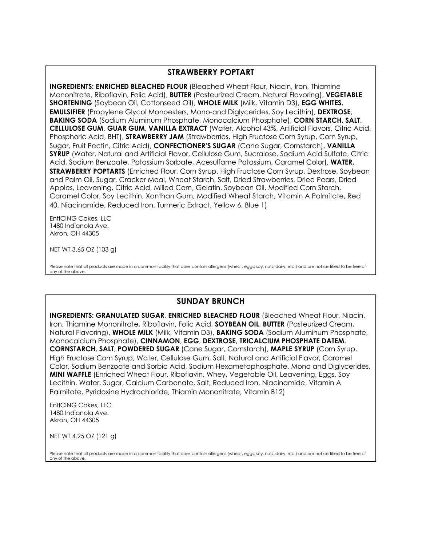### **STRAWBERRY POPTART**

**INGREDIENTS: ENRICHED BLEACHED FLOUR** (Bleached Wheat Flour, Niacin, Iron, Thiamine Mononitrate, Riboflavin, Folic Acid), **BUTTER** (Pasteurized Cream, Natural Flavoring), **VEGETABLE SHORTENING** (Soybean Oil, Cottonseed Oil), **WHOLE MILK** (Milk, Vitamin D3), **EGG WHITES**, **EMULSIFIER** (Propylene Glycol Monoesters, Mono-and Diglycerides, Soy Lecithin), **DEXTROSE**, **BAKING SODA** (Sodium Aluminum Phosphate, Monocalcium Phosphate), **CORN STARCH**, **SALT**, **CELLULOSE GUM**, **GUAR GUM**, **VANILLA EXTRACT** (Water, Alcohol 43%, Artificial Flavors, Citric Acid, Phosphoric Acid, BHT), **STRAWBERRY JAM** (Strawberries, High Fructose Corn Syrup, Corn Syrup, Sugar, Fruit Pectin, Citric Acid), **CONFECTIONER'S SUGAR** (Cane Sugar, Cornstarch), **VANILLA SYRUP** (Water, Natural and Artificial Flavor, Cellulose Gum, Sucralose, Sodium Acid Sulfate, Citric Acid, Sodium Benzoate, Potassium Sorbate, Acesulfame Potassium, Caramel Color), **WATER, STRAWBERRY POPTARTS** (Enriched Flour, Corn Syrup, High Fructose Corn Syrup, Dextrose, Soybean and Palm Oil, Sugar, Cracker Meal, Wheat Starch, Salt, Dried Strawberries, Dried Pears, Dried Apples, Leavening, Citric Acid, Milled Corn, Gelatin, Soybean Oil, Modified Corn Starch, Caramel Color, Soy Lecithin, Xanthan Gum, Modified Wheat Starch, Vitamin A Palmitate, Red 40, Niacinamide, Reduced Iron, Turmeric Extract, Yellow 6, Blue 1)

EntICING Cakes, LLC 1480 Indianola Ave. Akron, OH 44305

NET WT 3.65 OZ (103 g)

Please note that all products are made in a common facility that does contain allergens (wheat, eggs, soy, nuts, dairy, etc.) and are not certified to be free of any of the above.

### **SUNDAY BRUNCH**

**INGREDIENTS: GRANULATED SUGAR**, **ENRICHED BLEACHED FLOUR** (Bleached Wheat Flour, Niacin, Iron, Thiamine Mononitrate, Riboflavin, Folic Acid, **SOYBEAN OIL**, **BUTTER** (Pasteurized Cream, Natural Flavoring), **WHOLE MILK** (Milk, Vitamin D3), **BAKING SODA** (Sodium Aluminum Phosphate, Monocalcium Phosphate), **CINNAMON**, **EGG**, **DEXTROSE**, **TRICALCIUM PHOSPHATE DATEM**, **CORNSTARCH**, **SALT**, **POWDERED SUGAR** (Cane Sugar, Cornstarch), **MAPLE SYRUP** (Corn Syrup, High Fructose Corn Syrup, Water, Cellulose Gum, Salt, Natural and Artificial Flavor, Caramel Color, Sodium Benzoate and Sorbic Acid, Sodium Hexametaphosphate, Mono and Diglycerides, **MINI WAFFLE** (Enriched Wheat Flour, Riboflavin, Whey, Vegetable Oil, Leavening, Eggs, Soy Lecithin, Water, Sugar, Calcium Carbonate, Salt, Reduced Iron, Niacinamide, Vitamin A Palmitate, Pyridoxine Hydrochloride, Thiamin Mononitrate, Vitamin B12)

EntICING Cakes, LLC 1480 Indianola Ave. Akron, OH 44305

NET WT 4.25 OZ (121 g)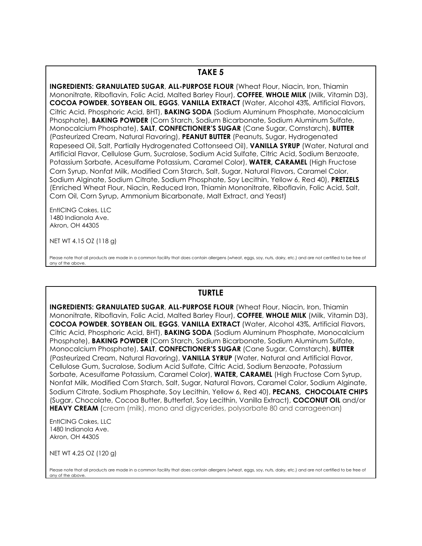#### **TAKE 5**

**INGREDIENTS: GRANULATED SUGAR**, **ALL-PURPOSE FLOUR** (Wheat Flour, Niacin, Iron, Thiamin Mononitrate, Riboflavin, Folic Acid, Malted Barley Flour), **COFFEE**, **WHOLE MILK** (Milk, Vitamin D3), **COCOA POWDER**, **SOYBEAN OIL**, **EGGS**, **VANILLA EXTRACT** (Water, Alcohol 43%, Artificial Flavors, Citric Acid, Phosphoric Acid, BHT), **BAKING SODA** (Sodium Aluminum Phosphate, Monocalcium Phosphate), **BAKING POWDER** (Corn Starch, Sodium Bicarbonate, Sodium Aluminum Sulfate, Monocalcium Phosphate), **SALT**, **CONFECTIONER'S SUGAR** (Cane Sugar, Cornstarch), **BUTTER**  (Pasteurized Cream, Natural Flavoring), **PEANUT BUTTER** (Peanuts, Sugar, Hydrogenated Rapeseed Oil, Salt, Partially Hydrogenated Cottonseed Oil), **VANILLA SYRUP** (Water, Natural and Artificial Flavor, Cellulose Gum, Sucralose, Sodium Acid Sulfate, Citric Acid, Sodium Benzoate, Potassium Sorbate, Acesulfame Potassium, Caramel Color), **WATER, CARAMEL** (High Fructose Corn Syrup, Nonfat Milk, Modified Corn Starch, Salt, Sugar, Natural Flavors, Caramel Color, Sodium Alginate, Sodium Citrate, Sodium Phosphate, Soy Lecithin, Yellow 6, Red 40), **PRETZELS**  (Enriched Wheat Flour, Niacin, Reduced Iron, Thiamin Mononitrate, Riboflavin, Folic Acid, Salt, Corn Oil, Corn Syrup, Ammonium Bicarbonate, Malt Extract, and Yeast)

EntICING Cakes, LLC 1480 Indianola Ave. Akron, OH 44305

NET WT 4.15 OZ (118 g)

Please note that all products are made in a common facility that does contain allergens (wheat, eggs, soy, nuts, dairy, etc.) and are not certified to be free of any of the above.

#### **TURTLE**

**INGREDIENTS: GRANULATED SUGAR**, **ALL-PURPOSE FLOUR** (Wheat Flour, Niacin, Iron, Thiamin Mononitrate, Riboflavin, Folic Acid, Malted Barley Flour), **COFFEE**, **WHOLE MILK** (Milk, Vitamin D3), **COCOA POWDER**, **SOYBEAN OIL**, **EGGS**, **VANILLA EXTRACT** (Water, Alcohol 43%, Artificial Flavors, Citric Acid, Phosphoric Acid, BHT), **BAKING SODA** (Sodium Aluminum Phosphate, Monocalcium Phosphate), **BAKING POWDER** (Corn Starch, Sodium Bicarbonate, Sodium Aluminum Sulfate, Monocalcium Phosphate), **SALT**, **CONFECTIONER'S SUGAR** (Cane Sugar, Cornstarch), **BUTTER**  (Pasteurized Cream, Natural Flavoring), **VANILLA SYRUP** (Water, Natural and Artificial Flavor, Cellulose Gum, Sucralose, Sodium Acid Sulfate, Citric Acid, Sodium Benzoate, Potassium Sorbate, Acesulfame Potassium, Caramel Color), **WATER, CARAMEL** (High Fructose Corn Syrup, Nonfat Milk, Modified Corn Starch, Salt, Sugar, Natural Flavors, Caramel Color, Sodium Alginate, Sodium Citrate, Sodium Phosphate, Soy Lecithin, Yellow 6, Red 40), **PECANS, CHOCOLATE CHIPS**  (Sugar, Chocolate, Cocoa Butter, Butterfat, Soy Lecithin, Vanilla Extract), **COCONUT OIL** and/or **HEAVY CREAM** (cream (milk), mono and digycerides, polysorbate 80 and carrageenan)

EntICING Cakes, LLC 1480 Indianola Ave. Akron, OH 44305

NET WT 4.25 OZ (120 g)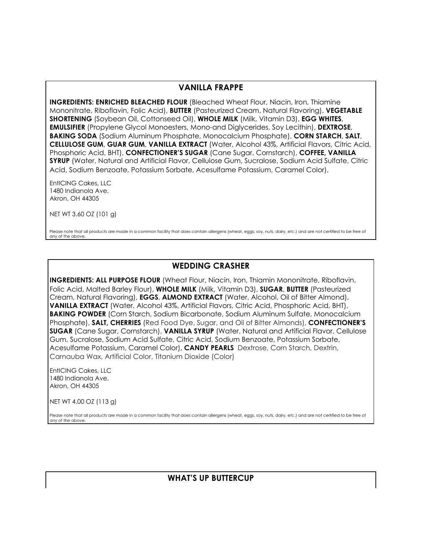### **VANILLA FRAPPE**

**INGREDIENTS: ENRICHED BLEACHED FLOUR** (Bleached Wheat Flour, Niacin, Iron, Thiamine Mononitrate, Riboflavin, Folic Acid), **BUTTER** (Pasteurized Cream, Natural Flavoring), **VEGETABLE SHORTENING** (Soybean Oil, Cottonseed Oil), **WHOLE MILK** (Milk, Vitamin D3), **EGG WHITES**, **EMULSIFIER** (Propylene Glycol Monoesters, Mono-and Diglycerides, Soy Lecithin), **DEXTROSE**, **BAKING SODA** (Sodium Aluminum Phosphate, Monocalcium Phosphate), **CORN STARCH**, **SALT**, **CELLULOSE GUM**, **GUAR GUM**, **VANILLA EXTRACT** (Water, Alcohol 43%, Artificial Flavors, Citric Acid, Phosphoric Acid, BHT), **CONFECTIONER'S SUGAR** (Cane Sugar, Cornstarch), **COFFEE, VANILLA SYRUP** (Water, Natural and Artificial Flavor, Cellulose Gum, Sucralose, Sodium Acid Sulfate, Citric Acid, Sodium Benzoate, Potassium Sorbate, Acesulfame Potassium, Caramel Color),

EntICING Cakes, LLC 1480 Indianola Ave. Akron, OH 44305

NET WT 3.60 OZ (101 g)

Please note that all products are made in a common facility that does contain allergens (wheat, eggs, soy, nuts, dairy, etc.) and are not certified to be free of any of the above.

### **WEDDING CRASHER**

**INGREDIENTS: ALL PURPOSE FLOUR** (Wheat Flour, Niacin, Iron, Thiamin Mononitrate, Riboflavin, Folic Acid, Malted Barley Flour), **WHOLE MILK** (Milk, Vitamin D3), **SUGAR**, **BUTTER** (Pasteurized Cream, Natural Flavoring), **EGGS**, **ALMOND EXTRACT** (Water, Alcohol, Oil of Bitter Almond), **VANILLA EXTRACT** (Water, Alcohol 43%, Artificial Flavors, Citric Acid, Phosphoric Acid, BHT), **BAKING POWDER** (Corn Starch, Sodium Bicarbonate, Sodium Aluminum Sulfate, Monocalcium Phosphate), **SALT, CHERRIES** (Red Food Dye, Sugar, and Oil of Bitter Almonds), **CONFECTIONER'S SUGAR** (Cane Sugar, Cornstarch), **VANILLA SYRUP** (Water, Natural and Artificial Flavor, Cellulose Gum, Sucralose, Sodium Acid Sulfate, Citric Acid, Sodium Benzoate, Potassium Sorbate, Acesulfame Potassium, Caramel Color), **CANDY PEARLS** Dextrose, Corn Starch, Dextrin, Carnauba Wax, Artificial Color, Titanium Dioxide (Color)

EntICING Cakes, LLC 1480 Indianola Ave. Akron, OH 44305

NET WT 4.00 OZ (113 g)

Please note that all products are made in a common facility that does contain allergens (wheat, eggs, soy, nuts, dairy, etc.) and are not certified to be free of any of the above.

**WHAT'S UP BUTTERCUP**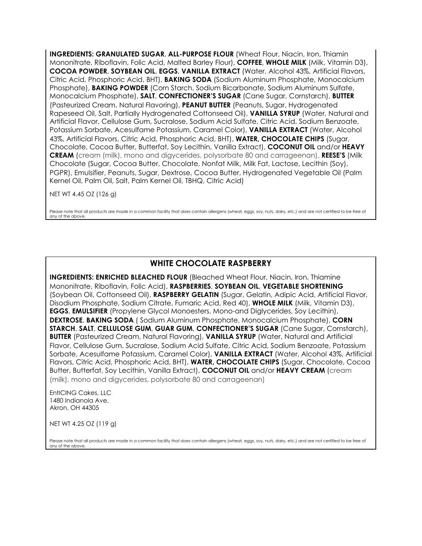**INGREDIENTS: GRANULATED SUGAR**, **ALL-PURPOSE FLOUR** (Wheat Flour, Niacin, Iron, Thiamin Mononitrate, Riboflavin, Folic Acid, Malted Barley Flour), **COFFEE**, **WHOLE MILK** (Milk, Vitamin D3), **COCOA POWDER**, **SOYBEAN OIL**, **EGGS**, **VANILLA EXTRACT** (Water, Alcohol 43%, Artificial Flavors, Citric Acid, Phosphoric Acid, BHT), **BAKING SODA** (Sodium Aluminum Phosphate, Monocalcium Phosphate), **BAKING POWDER** (Corn Starch, Sodium Bicarbonate, Sodium Aluminum Sulfate, Monocalcium Phosphate), **SALT**, **CONFECTIONER'S SUGAR** (Cane Sugar, Cornstarch), **BUTTER**  (Pasteurized Cream, Natural Flavoring), **PEANUT BUTTER** (Peanuts, Sugar, Hydrogenated Rapeseed Oil, Salt, Partially Hydrogenated Cottonseed Oil), **VANILLA SYRUP** (Water, Natural and Artificial Flavor, Cellulose Gum, Sucralose, Sodium Acid Sulfate, Citric Acid, Sodium Benzoate, Potassium Sorbate, Acesulfame Potassium, Caramel Color), **VANILLA EXTRACT** (Water, Alcohol 43%, Artificial Flavors, Citric Acid, Phosphoric Acid, BHT), **WATER, CHOCOLATE CHIPS** (Sugar, Chocolate, Cocoa Butter, Butterfat, Soy Lecithin, Vanilla Extract), **COCONUT OIL** and/or **HEAVY CREAM** (cream (milk), mono and digycerides, polysorbate 80 and carrageenan), **REESE'S** (Milk Chocolate (Sugar, Cocoa Butter, Chocolate, Nonfat Milk, Milk Fat, Lactose, Lecithin (Soy), PGPR), Emulsifier, Peanuts, Sugar, Dextrose, Cocoa Butter, Hydrogenated Vegetable Oil (Palm Kernel Oil, Palm Oil, Salt, Palm Kernel Oil, TBHQ, Citric Acid)

NET WT 4.45 OZ (126 g)

Please note that all products are made in a common facility that does contain allergens (wheat, eggs, soy, nuts, dairy, etc.) and are not certified to be free of any of the above.

## **WHITE CHOCOLATE RASPBERRY**

**INGREDIENTS: ENRICHED BLEACHED FLOUR** (Bleached Wheat Flour, Niacin, Iron, Thiamine Mononitrate, Riboflavin, Folic Acid), **RASPBERRIES**, **SOYBEAN OIL**, **VEGETABLE SHORTENING** (Soybean Oil, Cottonseed Oil), **RASPBERRY GELATIN** (Sugar, Gelatin, Adipic Acid, Artificial Flavor, Disodium Phosphate, Sodium Citrate, Fumaric Acid, Red 40), **WHOLE MILK** (Milk, Vitamin D3), **EGGS**, **EMULSIFIER** (Propylene Glycol Monoesters, Mono-and Diglycerides, Soy Lecithin), **DEXTROSE**, **BAKING SODA** ( Sodium Aluminum Phosphate, Monocalcium Phosphate), **CORN STARCH**, **SALT**, **CELLULOSE GUM**, **GUAR GUM**, **CONFECTIONER'S SUGAR** (Cane Sugar, Cornstarch), **BUTTER** (Pasteurized Cream, Natural Flavoring), **VANILLA SYRUP** (Water, Natural and Artificial Flavor, Cellulose Gum, Sucralose, Sodium Acid Sulfate, Citric Acid, Sodium Benzoate, Potassium Sorbate, Acesulfame Potassium, Caramel Color), **VANILLA EXTRACT** (Water, Alcohol 43%, Artificial Flavors, Citric Acid, Phosphoric Acid, BHT), **WATER, CHOCOLATE CHIPS** (Sugar, Chocolate, Cocoa Butter, Butterfat, Soy Lecithin, Vanilla Extract), **COCONUT OIL** and/or **HEAVY CREAM** (cream (milk), mono and digycerides, polysorbate 80 and carrageenan)

EntICING Cakes, LLC 1480 Indianola Ave. Akron, OH 44305

NET WT 4.25 OZ (119 g)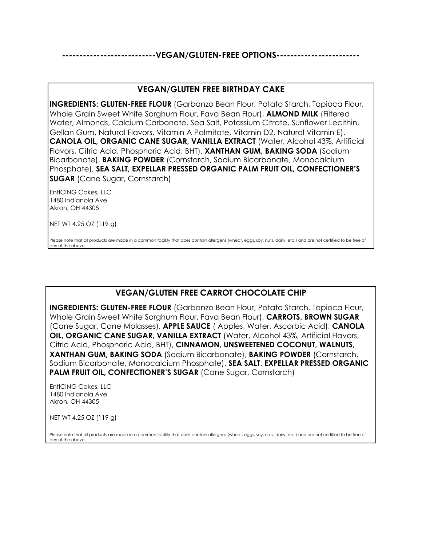**---------------------------VEGAN/GLUTEN-FREE OPTIONS------------------------**

### **VEGAN/GLUTEN FREE BIRTHDAY CAKE**

**INGREDIENTS: GLUTEN-FREE FLOUR** (Garbanzo Bean Flour, Potato Starch, Tapioca Flour, Whole Grain Sweet White Sorghum Flour, Fava Bean Flour), **ALMOND MILK** (Filtered Water, Almonds, Calcium Carbonate, Sea Salt, Potassium Citrate, Sunflower Lecithin, Gellan Gum, Natural Flavors, Vitamin A Palmitate, Vitamin D2, Natural Vitamin E), **CANOLA OIL, ORGANIC CANE SUGAR, VANILLA EXTRACT** (Water, Alcohol 43%, Artificial Flavors, Citric Acid, Phosphoric Acid, BHT), **XANTHAN GUM, BAKING SODA** (Sodium Bicarbonate), **BAKING POWDER** (Cornstarch, Sodium Bicarbonate, Monocalcium Phosphate), **SEA SALT, EXPELLAR PRESSED ORGANIC PALM FRUIT OIL, CONFECTIONER'S SUGAR** (Cane Sugar, Cornstarch)

EntICING Cakes, LLC 1480 Indianola Ave. Akron, OH 44305

NET WT 4.25 OZ (119 g)

Please note that all products are made in a common facility that does contain allergens (wheat, eggs, soy, nuts, dairy, etc.) and are not certified to be free of any of the above.

# **VEGAN/GLUTEN FREE CARROT CHOCOLATE CHIP**

**INGREDIENTS: GLUTEN-FREE FLOUR** (Garbanzo Bean Flour, Potato Starch, Tapioca Flour, Whole Grain Sweet White Sorghum Flour, Fava Bean Flour), **CARROTS, BROWN SUGAR** (Cane Sugar, Cane Molasses), **APPLE SAUCE** ( Apples, Water, Ascorbic Acid), **CANOLA OIL, ORGANIC CANE SUGAR, VANILLA EXTRACT** (Water, Alcohol 43%, Artificial Flavors, Citric Acid, Phosphoric Acid, BHT), **CINNAMON, UNSWEETENED COCONUT, WALNUTS, XANTHAN GUM, BAKING SODA** (Sodium Bicarbonate), **BAKING POWDER** (Cornstarch, Sodium Bicarbonate, Monocalcium Phosphate), **SEA SALT**, **EXPELLAR PRESSED ORGANIC PALM FRUIT OIL, CONFECTIONER'S SUGAR** (Cane Sugar, Cornstarch)

EntICING Cakes, LLC 1480 Indianola Ave. Akron, OH 44305

NET WT 4.25 OZ (119 g)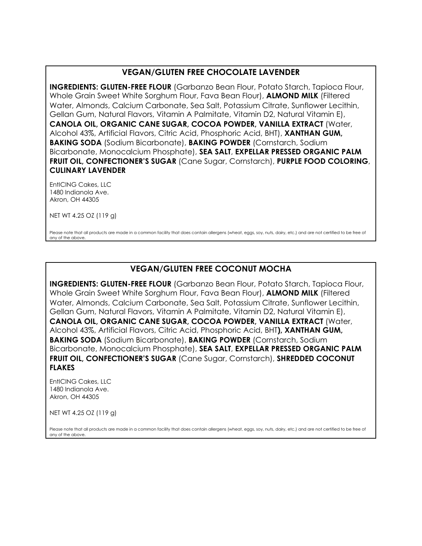## **VEGAN/GLUTEN FREE CHOCOLATE LAVENDER**

**INGREDIENTS: GLUTEN-FREE FLOUR** (Garbanzo Bean Flour, Potato Starch, Tapioca Flour, Whole Grain Sweet White Sorghum Flour, Fava Bean Flour), **ALMOND MILK** (Filtered Water, Almonds, Calcium Carbonate, Sea Salt, Potassium Citrate, Sunflower Lecithin, Gellan Gum, Natural Flavors, Vitamin A Palmitate, Vitamin D2, Natural Vitamin E), **CANOLA OIL, ORGANIC CANE SUGAR, COCOA POWDER, VANILLA EXTRACT** (Water, Alcohol 43%, Artificial Flavors, Citric Acid, Phosphoric Acid, BHT), **XANTHAN GUM, BAKING SODA** (Sodium Bicarbonate), **BAKING POWDER** (Cornstarch, Sodium Bicarbonate, Monocalcium Phosphate), **SEA SALT**, **EXPELLAR PRESSED ORGANIC PALM FRUIT OIL, CONFECTIONER'S SUGAR** (Cane Sugar, Cornstarch), **PURPLE FOOD COLORING**, **CULINARY LAVENDER**

EntICING Cakes, LLC 1480 Indianola Ave. Akron, OH 44305

NET WT 4.25 OZ (119 g)

Please note that all products are made in a common facility that does contain allergens (wheat, eggs, soy, nuts, dairy, etc.) and are not certified to be free of any of the above.

## **VEGAN/GLUTEN FREE COCONUT MOCHA**

**INGREDIENTS: GLUTEN-FREE FLOUR** (Garbanzo Bean Flour, Potato Starch, Tapioca Flour, Whole Grain Sweet White Sorghum Flour, Fava Bean Flour), **ALMOND MILK** (Filtered Water, Almonds, Calcium Carbonate, Sea Salt, Potassium Citrate, Sunflower Lecithin, Gellan Gum, Natural Flavors, Vitamin A Palmitate, Vitamin D2, Natural Vitamin E), **CANOLA OIL, ORGANIC CANE SUGAR, COCOA POWDER, VANILLA EXTRACT** (Water, Alcohol 43%, Artificial Flavors, Citric Acid, Phosphoric Acid, BHT**), XANTHAN GUM, BAKING SODA** (Sodium Bicarbonate), **BAKING POWDER** (Cornstarch, Sodium Bicarbonate, Monocalcium Phosphate), **SEA SALT**, **EXPELLAR PRESSED ORGANIC PALM FRUIT OIL, CONFECTIONER'S SUGAR** (Cane Sugar, Cornstarch), **SHREDDED COCONUT FLAKES**

EntICING Cakes, LLC 1480 Indianola Ave. Akron, OH 44305

NET WT 4.25 OZ (119 g)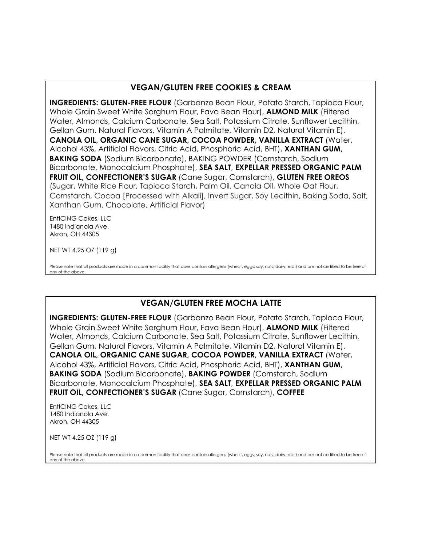# **VEGAN/GLUTEN FREE COOKIES & CREAM**

**INGREDIENTS: GLUTEN-FREE FLOUR** (Garbanzo Bean Flour, Potato Starch, Tapioca Flour, Whole Grain Sweet White Sorghum Flour, Fava Bean Flour), **ALMOND MILK** (Filtered Water, Almonds, Calcium Carbonate, Sea Salt, Potassium Citrate, Sunflower Lecithin, Gellan Gum, Natural Flavors, Vitamin A Palmitate, Vitamin D2, Natural Vitamin E), **CANOLA OIL, ORGANIC CANE SUGAR, COCOA POWDER, VANILLA EXTRACT** (Water, Alcohol 43%, Artificial Flavors, Citric Acid, Phosphoric Acid, BHT), **XANTHAN GUM, BAKING SODA** (Sodium Bicarbonate), BAKING POWDER (Cornstarch, Sodium Bicarbonate, Monocalcium Phosphate), **SEA SALT**, **EXPELLAR PRESSED ORGANIC PALM FRUIT OIL, CONFECTIONER'S SUGAR** (Cane Sugar, Cornstarch), **GLUTEN FREE OREOS**  (Sugar, White Rice Flour, Tapioca Starch, Palm Oil, Canola Oil, Whole Oat Flour, Cornstarch, Cocoa [Processed with Alkali], Invert Sugar, Soy Lecithin, Baking Soda, Salt, Xanthan Gum, Chocolate, Artificial Flavor)

EntICING Cakes, LLC 1480 Indianola Ave. Akron, OH 44305

NET WT 4.25 OZ (119 g)

Please note that all products are made in a common facility that does contain allergens (wheat, eggs, soy, nuts, dairy, etc.) and are not certified to be free of any of the above.

## **VEGAN/GLUTEN FREE MOCHA LATTE**

**INGREDIENTS: GLUTEN-FREE FLOUR** (Garbanzo Bean Flour, Potato Starch, Tapioca Flour, Whole Grain Sweet White Sorghum Flour, Fava Bean Flour), **ALMOND MILK** (Filtered Water, Almonds, Calcium Carbonate, Sea Salt, Potassium Citrate, Sunflower Lecithin, Gellan Gum, Natural Flavors, Vitamin A Palmitate, Vitamin D2, Natural Vitamin E), **CANOLA OIL, ORGANIC CANE SUGAR, COCOA POWDER, VANILLA EXTRACT** (Water, Alcohol 43%, Artificial Flavors, Citric Acid, Phosphoric Acid, BHT), **XANTHAN GUM, BAKING SODA** (Sodium Bicarbonate), **BAKING POWDER** (Cornstarch, Sodium Bicarbonate, Monocalcium Phosphate), **SEA SALT**, **EXPELLAR PRESSED ORGANIC PALM FRUIT OIL, CONFECTIONER'S SUGAR** (Cane Sugar, Cornstarch), **COFFEE**

EntICING Cakes, LLC 1480 Indianola Ave. Akron, OH 44305

NET WT 4.25 OZ (119 g)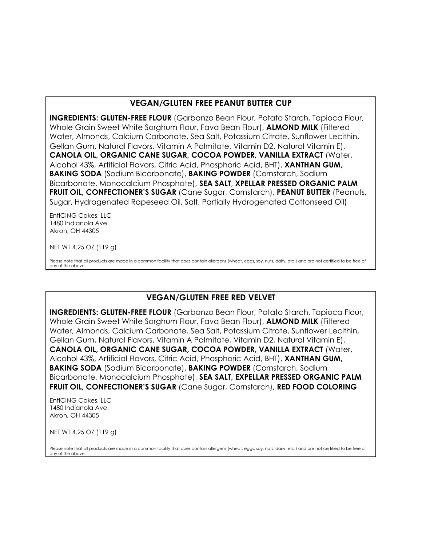## **VEGAN/GLUTEN FREE PEANUT BUTTER CUP**

**INGREDIENTS: GLUTEN-FREE FLOUR** (Garbanzo Bean Flour, Potato Starch, Tapioca Flour, Whole Grain Sweet White Sorghum Flour, Fava Bean Flour), **ALMOND MILK** (Filtered Water, Almonds, Calcium Carbonate, Sea Salt, Potassium Citrate, Sunflower Lecithin, Gellan Gum, Natural Flavors, Vitamin A Palmitate, Vitamin D2, Natural Vitamin E), **CANOLA OIL, ORGANIC CANE SUGAR, COCOA POWDER, VANILLA EXTRACT** (Water, Alcohol 43%, Artificial Flavors, Citric Acid, Phosphoric Acid, BHT), **XANTHAN GUM, BAKING SODA** (Sodium Bicarbonate), **BAKING POWDER** (Cornstarch, Sodium Bicarbonate, Monocalcium Phosphate), **SEA SALT**, **XPELLAR PRESSED ORGANIC PALM FRUIT OIL, CONFECTIONER'S SUGAR** (Cane Sugar, Cornstarch), **PEANUT BUTTER** (Peanuts, Sugar, Hydrogenated Rapeseed Oil, Salt, Partially Hydrogenated Cottonseed Oil)

EntICING Cakes, LLC 1480 Indianola Ave. Akron, OH 44305

NET WT 4.25 OZ (119 g)

Please note that all products are made in a common facility that does contain allergens (wheat, eggs, soy, nuts, dairy, etc.) and are not certified to be free of any of the above.

# **VEGAN/GLUTEN FREE RED VELVET**

**INGREDIENTS: GLUTEN-FREE FLOUR** (Garbanzo Bean Flour, Potato Starch, Tapioca Flour, Whole Grain Sweet White Sorghum Flour, Fava Bean Flour), **ALMOND MILK** (Filtered Water, Almonds, Calcium Carbonate, Sea Salt, Potassium Citrate, Sunflower Lecithin, Gellan Gum, Natural Flavors, Vitamin A Palmitate, Vitamin D2, Natural Vitamin E), **CANOLA OIL, ORGANIC CANE SUGAR, COCOA POWDER, VANILLA EXTRACT** (Water, Alcohol 43%, Artificial Flavors, Citric Acid, Phosphoric Acid, BHT), **XANTHAN GUM, BAKING SODA** (Sodium Bicarbonate), **BAKING POWDER** (Cornstarch, Sodium Bicarbonate, Monocalcium Phosphate), **SEA SALT, EXPELLAR PRESSED ORGANIC PALM FRUIT OIL, CONFECTIONER'S SUGAR** (Cane Sugar, Cornstarch), **RED FOOD COLORING**

EntICING Cakes, LLC 1480 Indianola Ave. Akron, OH 44305

NET WT 4.25 OZ (119 g)